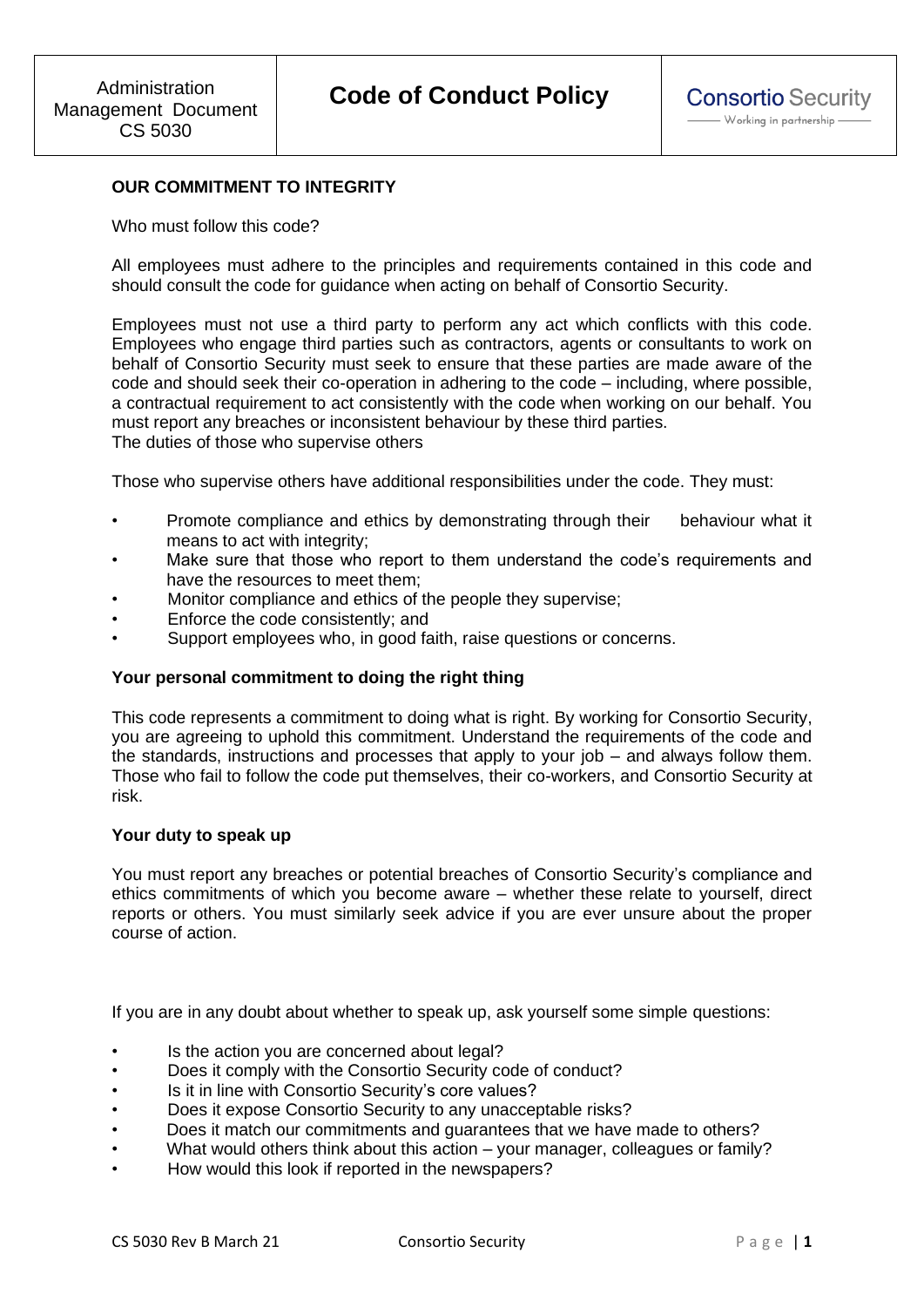# **OUR COMMITMENT TO INTEGRITY**

Who must follow this code?

All employees must adhere to the principles and requirements contained in this code and should consult the code for guidance when acting on behalf of Consortio Security.

Employees must not use a third party to perform any act which conflicts with this code. Employees who engage third parties such as contractors, agents or consultants to work on behalf of Consortio Security must seek to ensure that these parties are made aware of the code and should seek their co-operation in adhering to the code – including, where possible, a contractual requirement to act consistently with the code when working on our behalf. You must report any breaches or inconsistent behaviour by these third parties. The duties of those who supervise others

Those who supervise others have additional responsibilities under the code. They must:

- Promote compliance and ethics by demonstrating through their behaviour what it means to act with integrity;
- Make sure that those who report to them understand the code's requirements and have the resources to meet them;
- Monitor compliance and ethics of the people they supervise;
- Enforce the code consistently; and
- Support employees who, in good faith, raise questions or concerns.

### **Your personal commitment to doing the right thing**

This code represents a commitment to doing what is right. By working for Consortio Security, you are agreeing to uphold this commitment. Understand the requirements of the code and the standards, instructions and processes that apply to your job – and always follow them. Those who fail to follow the code put themselves, their co-workers, and Consortio Security at risk.

#### **Your duty to speak up**

You must report any breaches or potential breaches of Consortio Security's compliance and ethics commitments of which you become aware – whether these relate to yourself, direct reports or others. You must similarly seek advice if you are ever unsure about the proper course of action.

If you are in any doubt about whether to speak up, ask yourself some simple questions:

- Is the action you are concerned about legal?
- Does it comply with the Consortio Security code of conduct?
- Is it in line with Consortio Security's core values?
- Does it expose Consortio Security to any unacceptable risks?
- Does it match our commitments and guarantees that we have made to others?
- What would others think about this action your manager, colleagues or family?
- How would this look if reported in the newspapers?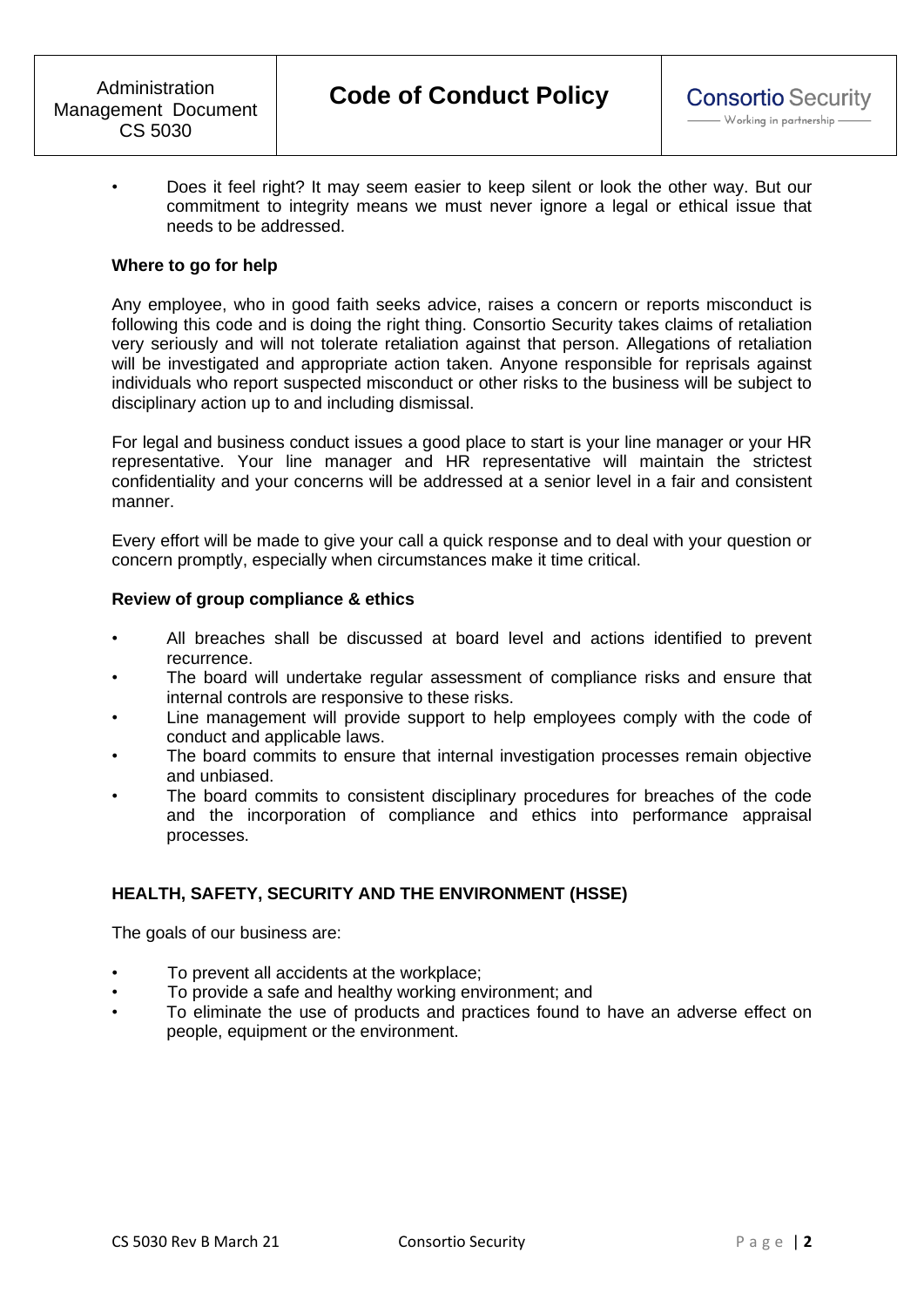• Does it feel right? It may seem easier to keep silent or look the other way. But our commitment to integrity means we must never ignore a legal or ethical issue that needs to be addressed.

### **Where to go for help**

Any employee, who in good faith seeks advice, raises a concern or reports misconduct is following this code and is doing the right thing. Consortio Security takes claims of retaliation very seriously and will not tolerate retaliation against that person. Allegations of retaliation will be investigated and appropriate action taken. Anyone responsible for reprisals against individuals who report suspected misconduct or other risks to the business will be subject to disciplinary action up to and including dismissal.

For legal and business conduct issues a good place to start is your line manager or your HR representative. Your line manager and HR representative will maintain the strictest confidentiality and your concerns will be addressed at a senior level in a fair and consistent manner.

Every effort will be made to give your call a quick response and to deal with your question or concern promptly, especially when circumstances make it time critical.

### **Review of group compliance & ethics**

- All breaches shall be discussed at board level and actions identified to prevent recurrence.
- The board will undertake regular assessment of compliance risks and ensure that internal controls are responsive to these risks.
- Line management will provide support to help employees comply with the code of conduct and applicable laws.
- The board commits to ensure that internal investigation processes remain objective and unbiased.
- The board commits to consistent disciplinary procedures for breaches of the code and the incorporation of compliance and ethics into performance appraisal processes.

# **HEALTH, SAFETY, SECURITY AND THE ENVIRONMENT (HSSE)**

The goals of our business are:

- To prevent all accidents at the workplace;
- To provide a safe and healthy working environment; and
- To eliminate the use of products and practices found to have an adverse effect on people, equipment or the environment.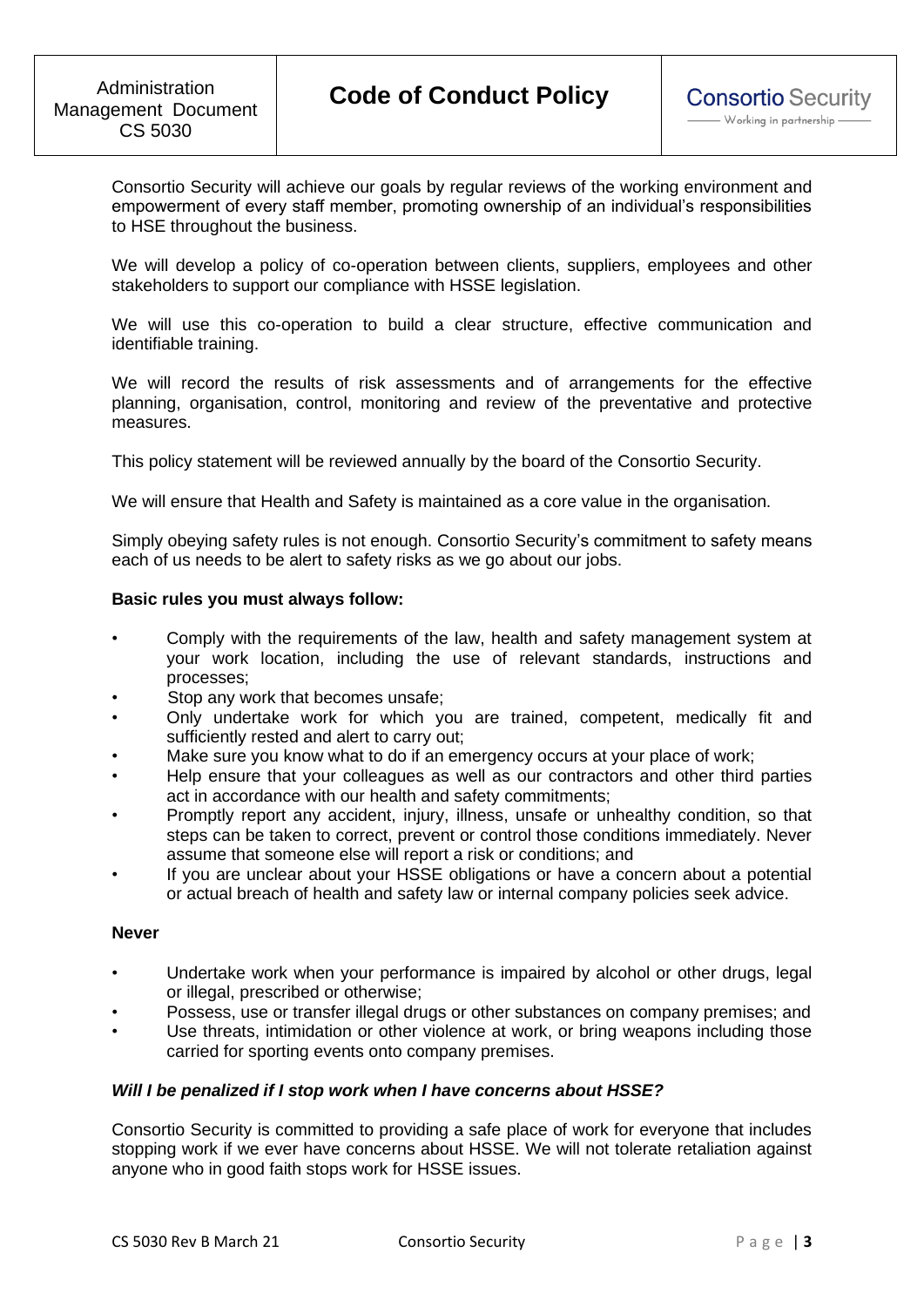Consortio Security will achieve our goals by regular reviews of the working environment and empowerment of every staff member, promoting ownership of an individual's responsibilities to HSE throughout the business.

We will develop a policy of co-operation between clients, suppliers, employees and other stakeholders to support our compliance with HSSE legislation.

We will use this co-operation to build a clear structure, effective communication and identifiable training.

We will record the results of risk assessments and of arrangements for the effective planning, organisation, control, monitoring and review of the preventative and protective measures.

This policy statement will be reviewed annually by the board of the Consortio Security.

We will ensure that Health and Safety is maintained as a core value in the organisation.

Simply obeying safety rules is not enough. Consortio Security's commitment to safety means each of us needs to be alert to safety risks as we go about our jobs.

### **Basic rules you must always follow:**

- Comply with the requirements of the law, health and safety management system at your work location, including the use of relevant standards, instructions and processes;
- Stop any work that becomes unsafe;
- Only undertake work for which you are trained, competent, medically fit and sufficiently rested and alert to carry out;
- Make sure you know what to do if an emergency occurs at your place of work;
- Help ensure that your colleagues as well as our contractors and other third parties act in accordance with our health and safety commitments;
- Promptly report any accident, injury, illness, unsafe or unhealthy condition, so that steps can be taken to correct, prevent or control those conditions immediately. Never assume that someone else will report a risk or conditions; and
- If you are unclear about your HSSE obligations or have a concern about a potential or actual breach of health and safety law or internal company policies seek advice.

### **Never**

- Undertake work when your performance is impaired by alcohol or other drugs, legal or illegal, prescribed or otherwise;
- Possess, use or transfer illegal drugs or other substances on company premises; and
- Use threats, intimidation or other violence at work, or bring weapons including those carried for sporting events onto company premises.

### *Will I be penalized if I stop work when I have concerns about HSSE?*

Consortio Security is committed to providing a safe place of work for everyone that includes stopping work if we ever have concerns about HSSE. We will not tolerate retaliation against anyone who in good faith stops work for HSSE issues.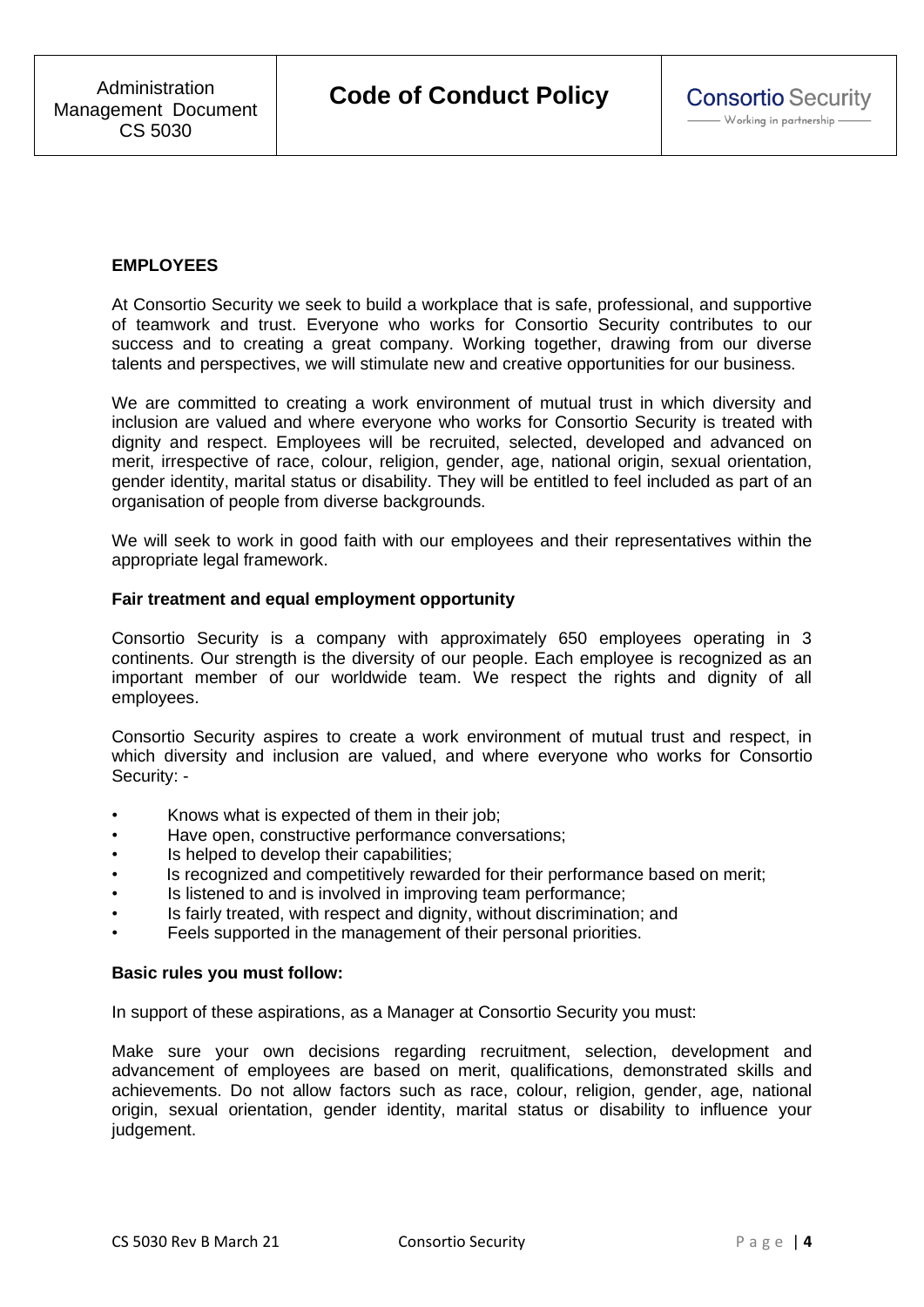# **EMPLOYEES**

At Consortio Security we seek to build a workplace that is safe, professional, and supportive of teamwork and trust. Everyone who works for Consortio Security contributes to our success and to creating a great company. Working together, drawing from our diverse talents and perspectives, we will stimulate new and creative opportunities for our business.

We are committed to creating a work environment of mutual trust in which diversity and inclusion are valued and where everyone who works for Consortio Security is treated with dignity and respect. Employees will be recruited, selected, developed and advanced on merit, irrespective of race, colour, religion, gender, age, national origin, sexual orientation, gender identity, marital status or disability. They will be entitled to feel included as part of an organisation of people from diverse backgrounds.

We will seek to work in good faith with our employees and their representatives within the appropriate legal framework.

#### **Fair treatment and equal employment opportunity**

Consortio Security is a company with approximately 650 employees operating in 3 continents. Our strength is the diversity of our people. Each employee is recognized as an important member of our worldwide team. We respect the rights and dignity of all employees.

Consortio Security aspires to create a work environment of mutual trust and respect, in which diversity and inclusion are valued, and where everyone who works for Consortio Security: -

- Knows what is expected of them in their job;
- Have open, constructive performance conversations;
- Is helped to develop their capabilities;
- Is recognized and competitively rewarded for their performance based on merit;
- Is listened to and is involved in improving team performance;
- Is fairly treated, with respect and dignity, without discrimination; and
- Feels supported in the management of their personal priorities.

#### **Basic rules you must follow:**

In support of these aspirations, as a Manager at Consortio Security you must:

Make sure your own decisions regarding recruitment, selection, development and advancement of employees are based on merit, qualifications, demonstrated skills and achievements. Do not allow factors such as race, colour, religion, gender, age, national origin, sexual orientation, gender identity, marital status or disability to influence your judgement.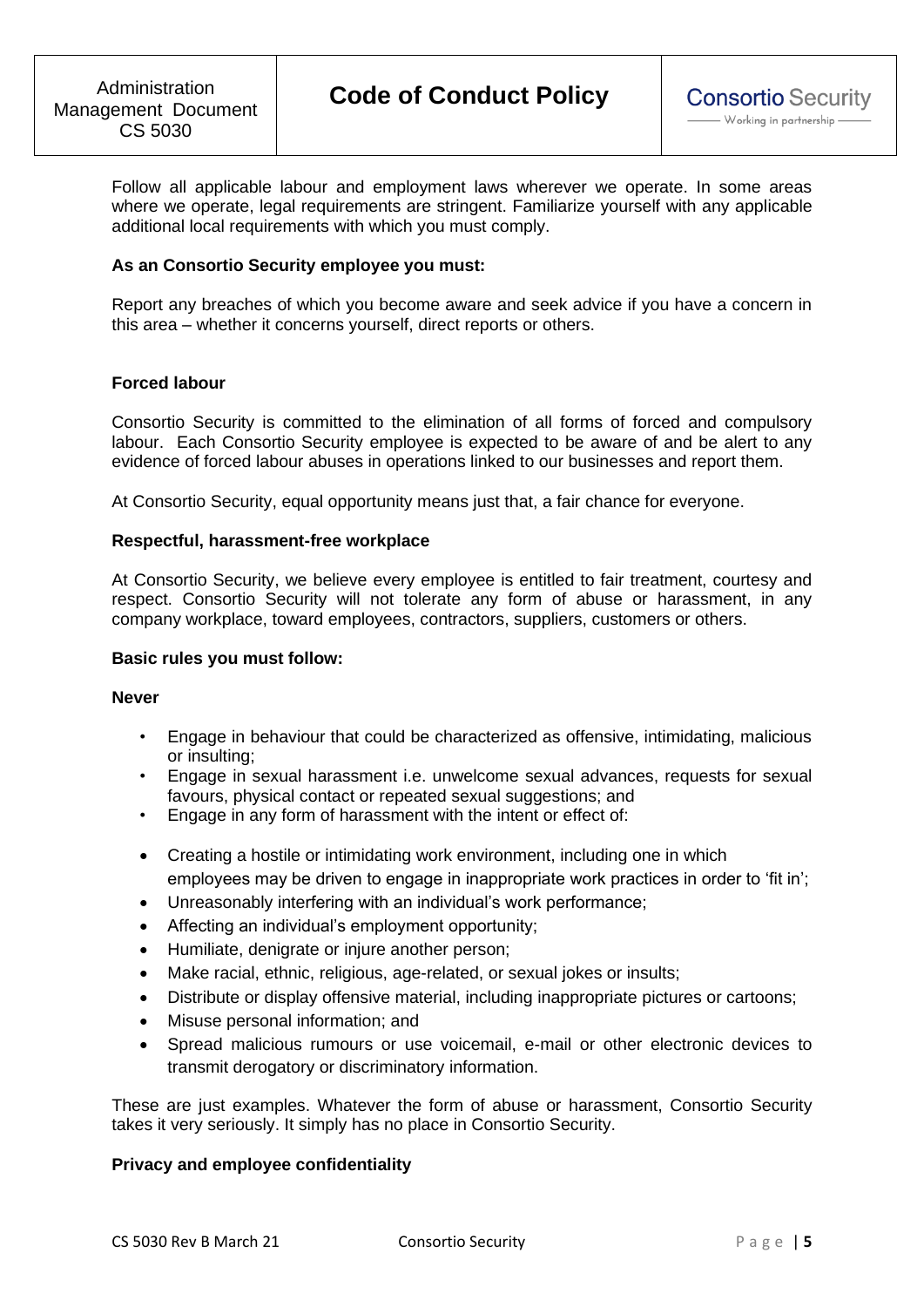Follow all applicable labour and employment laws wherever we operate. In some areas where we operate, legal requirements are stringent. Familiarize yourself with any applicable additional local requirements with which you must comply.

### **As an Consortio Security employee you must:**

Report any breaches of which you become aware and seek advice if you have a concern in this area – whether it concerns yourself, direct reports or others.

# **Forced labour**

Consortio Security is committed to the elimination of all forms of forced and compulsory labour. Each Consortio Security employee is expected to be aware of and be alert to any evidence of forced labour abuses in operations linked to our businesses and report them.

At Consortio Security, equal opportunity means just that, a fair chance for everyone.

### **Respectful, harassment-free workplace**

At Consortio Security, we believe every employee is entitled to fair treatment, courtesy and respect. Consortio Security will not tolerate any form of abuse or harassment, in any company workplace, toward employees, contractors, suppliers, customers or others.

### **Basic rules you must follow:**

### **Never**

- Engage in behaviour that could be characterized as offensive, intimidating, malicious or insulting;
- Engage in sexual harassment i.e. unwelcome sexual advances, requests for sexual favours, physical contact or repeated sexual suggestions; and
- Engage in any form of harassment with the intent or effect of:
- Creating a hostile or intimidating work environment, including one in which employees may be driven to engage in inappropriate work practices in order to 'fit in';
- Unreasonably interfering with an individual's work performance;
- Affecting an individual's employment opportunity;
- Humiliate, denigrate or injure another person;
- Make racial, ethnic, religious, age-related, or sexual jokes or insults;
- Distribute or display offensive material, including inappropriate pictures or cartoons;
- Misuse personal information; and
- Spread malicious rumours or use voicemail, e-mail or other electronic devices to transmit derogatory or discriminatory information.

These are just examples. Whatever the form of abuse or harassment, Consortio Security takes it very seriously. It simply has no place in Consortio Security.

### **Privacy and employee confidentiality**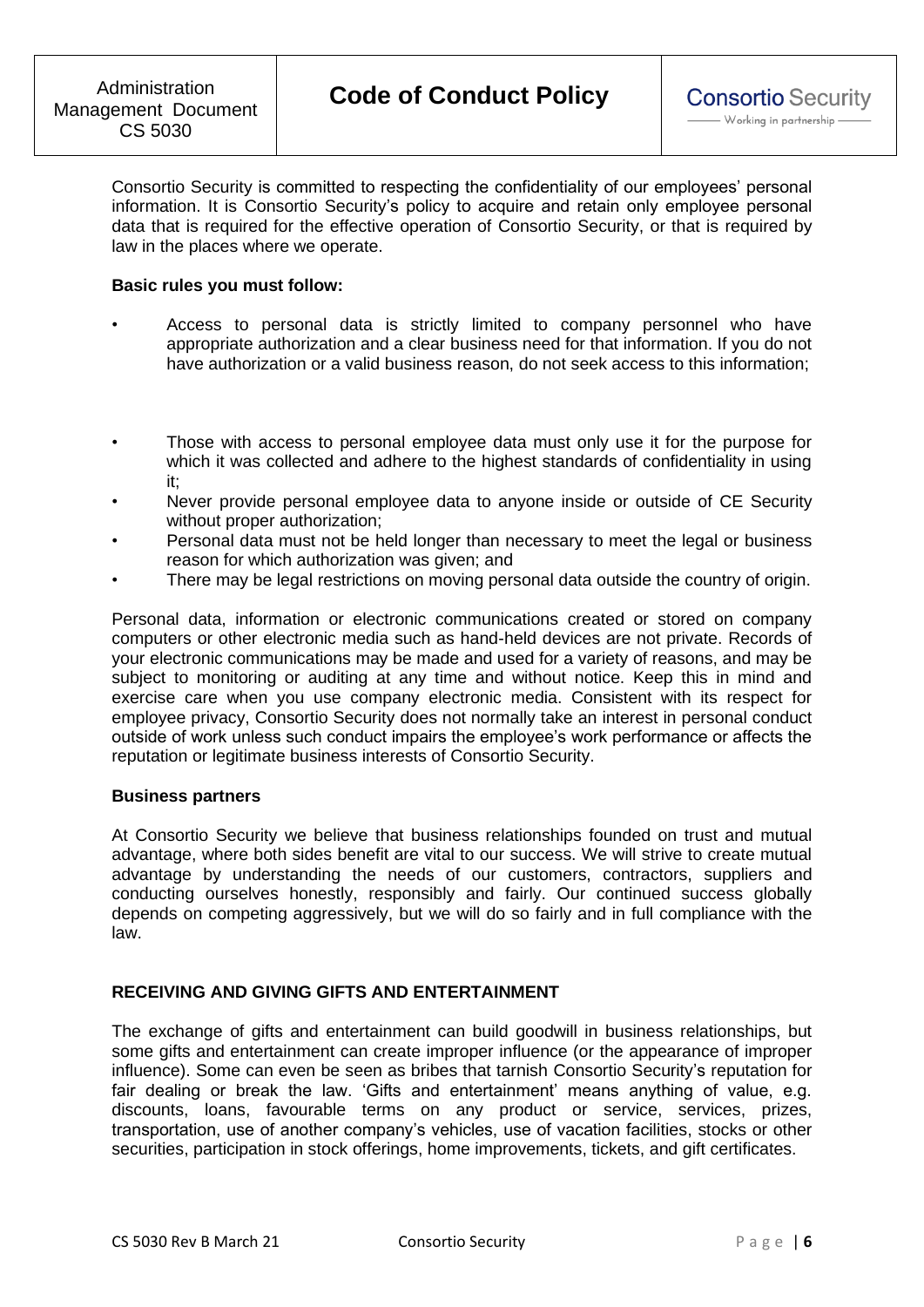Consortio Security is committed to respecting the confidentiality of our employees' personal information. It is Consortio Security's policy to acquire and retain only employee personal data that is required for the effective operation of Consortio Security, or that is required by law in the places where we operate.

### **Basic rules you must follow:**

- Access to personal data is strictly limited to company personnel who have appropriate authorization and a clear business need for that information. If you do not have authorization or a valid business reason, do not seek access to this information;
- Those with access to personal employee data must only use it for the purpose for which it was collected and adhere to the highest standards of confidentiality in using it;
- Never provide personal employee data to anyone inside or outside of CE Security without proper authorization;
- Personal data must not be held longer than necessary to meet the legal or business reason for which authorization was given; and
- There may be legal restrictions on moving personal data outside the country of origin.

Personal data, information or electronic communications created or stored on company computers or other electronic media such as hand-held devices are not private. Records of your electronic communications may be made and used for a variety of reasons, and may be subject to monitoring or auditing at any time and without notice. Keep this in mind and exercise care when you use company electronic media. Consistent with its respect for employee privacy, Consortio Security does not normally take an interest in personal conduct outside of work unless such conduct impairs the employee's work performance or affects the reputation or legitimate business interests of Consortio Security.

### **Business partners**

At Consortio Security we believe that business relationships founded on trust and mutual advantage, where both sides benefit are vital to our success. We will strive to create mutual advantage by understanding the needs of our customers, contractors, suppliers and conducting ourselves honestly, responsibly and fairly. Our continued success globally depends on competing aggressively, but we will do so fairly and in full compliance with the law.

# **RECEIVING AND GIVING GIFTS AND ENTERTAINMENT**

The exchange of gifts and entertainment can build goodwill in business relationships, but some gifts and entertainment can create improper influence (or the appearance of improper influence). Some can even be seen as bribes that tarnish Consortio Security's reputation for fair dealing or break the law. 'Gifts and entertainment' means anything of value, e.g. discounts, loans, favourable terms on any product or service, services, prizes, transportation, use of another company's vehicles, use of vacation facilities, stocks or other securities, participation in stock offerings, home improvements, tickets, and gift certificates.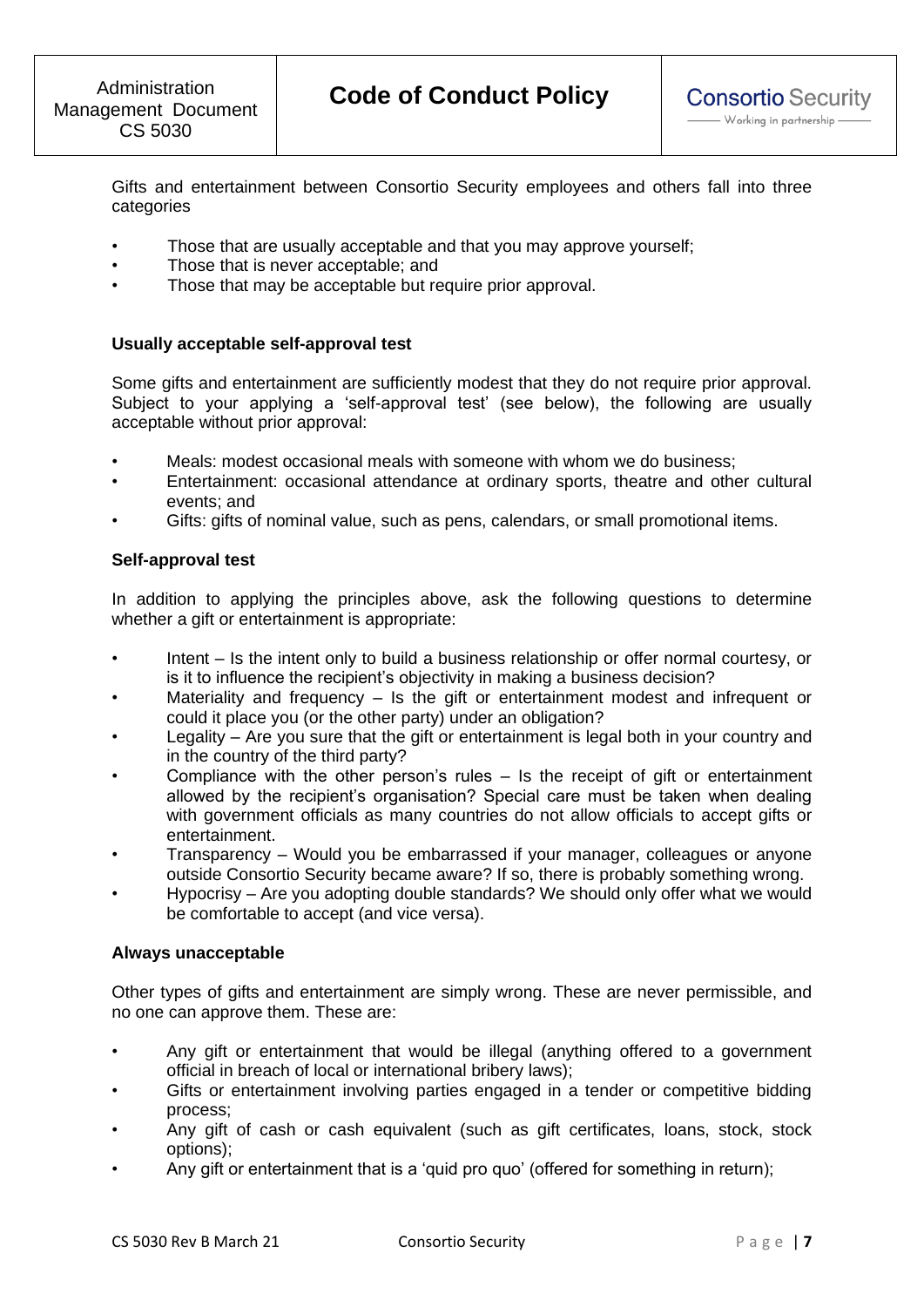Gifts and entertainment between Consortio Security employees and others fall into three categories

- Those that are usually acceptable and that you may approve yourself;
- Those that is never acceptable; and
- Those that may be acceptable but require prior approval.

# **Usually acceptable self-approval test**

Some gifts and entertainment are sufficiently modest that they do not require prior approval. Subject to your applying a 'self-approval test' (see below), the following are usually acceptable without prior approval:

- Meals: modest occasional meals with someone with whom we do business;
- Entertainment: occasional attendance at ordinary sports, theatre and other cultural events; and
- Gifts: gifts of nominal value, such as pens, calendars, or small promotional items.

### **Self-approval test**

In addition to applying the principles above, ask the following questions to determine whether a gift or entertainment is appropriate:

- Intent Is the intent only to build a business relationship or offer normal courtesy, or is it to influence the recipient's objectivity in making a business decision?
- Materiality and frequency  $-$  Is the gift or entertainment modest and infrequent or could it place you (or the other party) under an obligation?
- Legality Are you sure that the gift or entertainment is legal both in your country and in the country of the third party?
- Compliance with the other person's rules Is the receipt of gift or entertainment allowed by the recipient's organisation? Special care must be taken when dealing with government officials as many countries do not allow officials to accept gifts or entertainment.
- Transparency Would you be embarrassed if your manager, colleagues or anyone outside Consortio Security became aware? If so, there is probably something wrong.
- Hypocrisy Are you adopting double standards? We should only offer what we would be comfortable to accept (and vice versa).

### **Always unacceptable**

Other types of gifts and entertainment are simply wrong. These are never permissible, and no one can approve them. These are:

- Any gift or entertainment that would be illegal (anything offered to a government official in breach of local or international bribery laws);
- Gifts or entertainment involving parties engaged in a tender or competitive bidding process;
- Any gift of cash or cash equivalent (such as gift certificates, loans, stock, stock options);
- Any gift or entertainment that is a 'quid pro quo' (offered for something in return);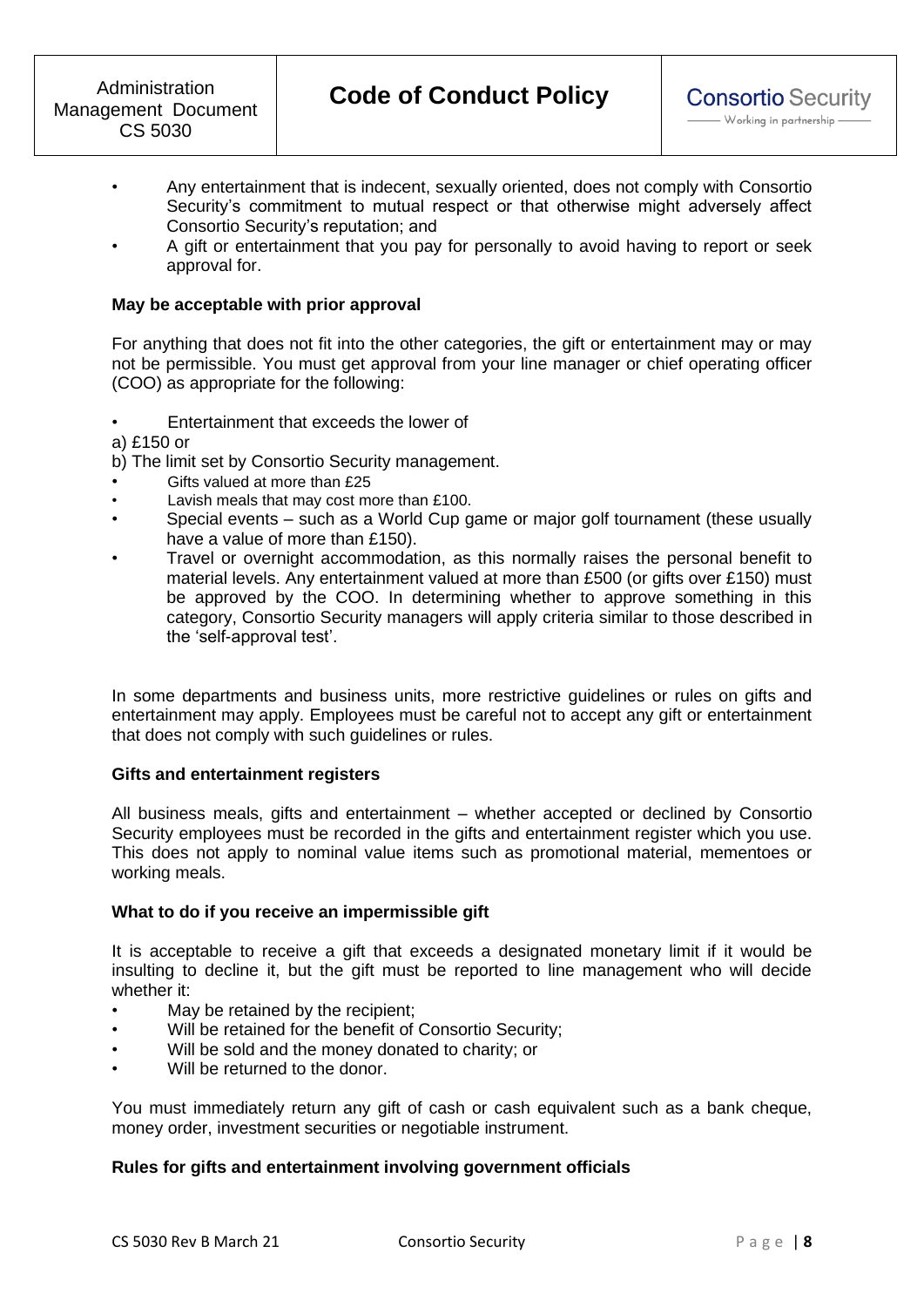- Any entertainment that is indecent, sexually oriented, does not comply with Consortio Security's commitment to mutual respect or that otherwise might adversely affect Consortio Security's reputation; and
- A gift or entertainment that you pay for personally to avoid having to report or seek approval for.

### **May be acceptable with prior approval**

For anything that does not fit into the other categories, the gift or entertainment may or may not be permissible. You must get approval from your line manager or chief operating officer (COO) as appropriate for the following:

- Entertainment that exceeds the lower of
- a) £150 or

b) The limit set by Consortio Security management.

- Gifts valued at more than £25
- Lavish meals that may cost more than £100.
- Special events such as a World Cup game or major golf tournament (these usually have a value of more than £150).
- Travel or overnight accommodation, as this normally raises the personal benefit to material levels. Any entertainment valued at more than £500 (or gifts over £150) must be approved by the COO. In determining whether to approve something in this category, Consortio Security managers will apply criteria similar to those described in the 'self-approval test'.

In some departments and business units, more restrictive guidelines or rules on gifts and entertainment may apply. Employees must be careful not to accept any gift or entertainment that does not comply with such guidelines or rules.

### **Gifts and entertainment registers**

All business meals, gifts and entertainment – whether accepted or declined by Consortio Security employees must be recorded in the gifts and entertainment register which you use. This does not apply to nominal value items such as promotional material, mementoes or working meals.

### **What to do if you receive an impermissible gift**

It is acceptable to receive a gift that exceeds a designated monetary limit if it would be insulting to decline it, but the gift must be reported to line management who will decide whether it:

- May be retained by the recipient;
- Will be retained for the benefit of Consortio Security;
- Will be sold and the money donated to charity; or
- Will be returned to the donor.

You must immediately return any gift of cash or cash equivalent such as a bank cheque, money order, investment securities or negotiable instrument.

### **Rules for gifts and entertainment involving government officials**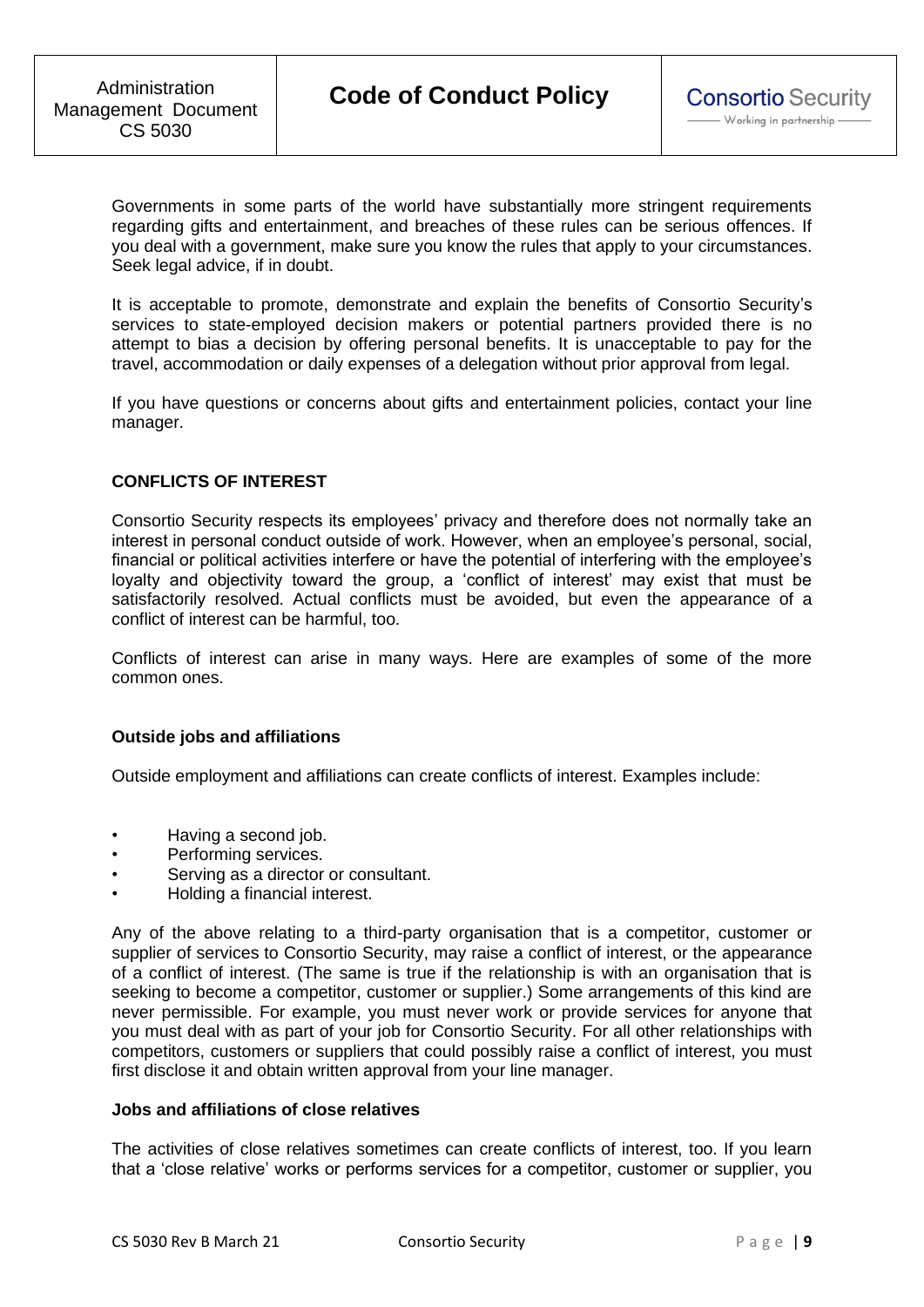Governments in some parts of the world have substantially more stringent requirements regarding gifts and entertainment, and breaches of these rules can be serious offences. If you deal with a government, make sure you know the rules that apply to your circumstances. Seek legal advice, if in doubt.

It is acceptable to promote, demonstrate and explain the benefits of Consortio Security's services to state-employed decision makers or potential partners provided there is no attempt to bias a decision by offering personal benefits. It is unacceptable to pay for the travel, accommodation or daily expenses of a delegation without prior approval from legal.

If you have questions or concerns about gifts and entertainment policies, contact your line manager.

# **CONFLICTS OF INTEREST**

Consortio Security respects its employees' privacy and therefore does not normally take an interest in personal conduct outside of work. However, when an employee's personal, social, financial or political activities interfere or have the potential of interfering with the employee's loyalty and objectivity toward the group, a 'conflict of interest' may exist that must be satisfactorily resolved. Actual conflicts must be avoided, but even the appearance of a conflict of interest can be harmful, too.

Conflicts of interest can arise in many ways. Here are examples of some of the more common ones.

### **Outside jobs and affiliations**

Outside employment and affiliations can create conflicts of interest. Examples include:

- Having a second job.
- Performing services.
- Serving as a director or consultant.
- Holding a financial interest.

Any of the above relating to a third-party organisation that is a competitor, customer or supplier of services to Consortio Security, may raise a conflict of interest, or the appearance of a conflict of interest. (The same is true if the relationship is with an organisation that is seeking to become a competitor, customer or supplier.) Some arrangements of this kind are never permissible. For example, you must never work or provide services for anyone that you must deal with as part of your job for Consortio Security. For all other relationships with competitors, customers or suppliers that could possibly raise a conflict of interest, you must first disclose it and obtain written approval from your line manager.

### **Jobs and affiliations of close relatives**

The activities of close relatives sometimes can create conflicts of interest, too. If you learn that a 'close relative' works or performs services for a competitor, customer or supplier, you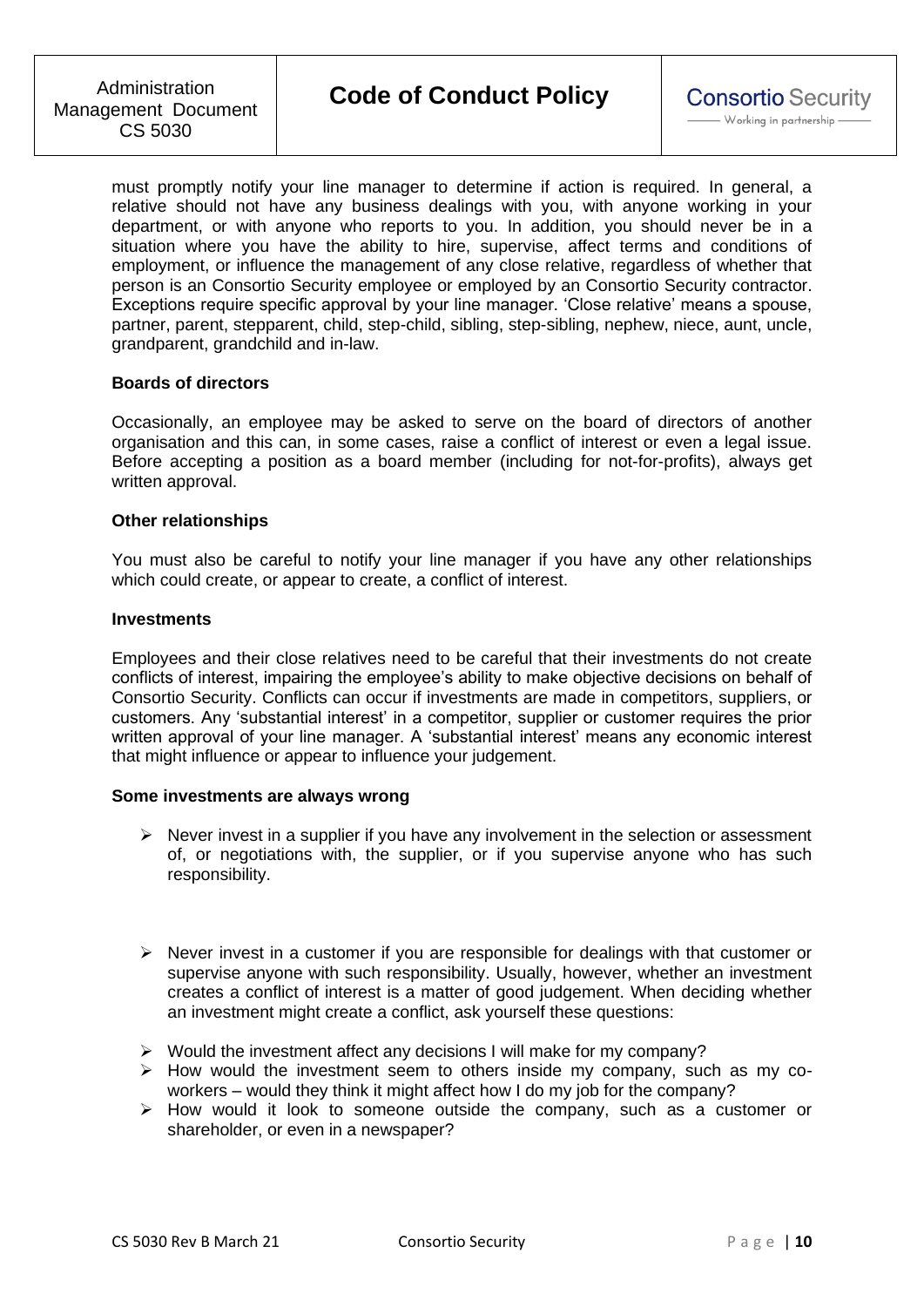must promptly notify your line manager to determine if action is required. In general, a relative should not have any business dealings with you, with anyone working in your department, or with anyone who reports to you. In addition, you should never be in a situation where you have the ability to hire, supervise, affect terms and conditions of employment, or influence the management of any close relative, regardless of whether that person is an Consortio Security employee or employed by an Consortio Security contractor. Exceptions require specific approval by your line manager. 'Close relative' means a spouse, partner, parent, stepparent, child, step-child, sibling, step-sibling, nephew, niece, aunt, uncle, grandparent, grandchild and in-law.

### **Boards of directors**

Occasionally, an employee may be asked to serve on the board of directors of another organisation and this can, in some cases, raise a conflict of interest or even a legal issue. Before accepting a position as a board member (including for not-for-profits), always get written approval.

#### **Other relationships**

You must also be careful to notify your line manager if you have any other relationships which could create, or appear to create, a conflict of interest.

#### **Investments**

Employees and their close relatives need to be careful that their investments do not create conflicts of interest, impairing the employee's ability to make objective decisions on behalf of Consortio Security. Conflicts can occur if investments are made in competitors, suppliers, or customers. Any 'substantial interest' in a competitor, supplier or customer requires the prior written approval of your line manager. A 'substantial interest' means any economic interest that might influence or appear to influence your judgement.

### **Some investments are always wrong**

- $\triangleright$  Never invest in a supplier if you have any involvement in the selection or assessment of, or negotiations with, the supplier, or if you supervise anyone who has such responsibility.
- $\triangleright$  Never invest in a customer if you are responsible for dealings with that customer or supervise anyone with such responsibility. Usually, however, whether an investment creates a conflict of interest is a matter of good judgement. When deciding whether an investment might create a conflict, ask yourself these questions:
- ➢ Would the investment affect any decisions I will make for my company?
- ➢ How would the investment seem to others inside my company, such as my coworkers – would they think it might affect how I do my job for the company?
- ➢ How would it look to someone outside the company, such as a customer or shareholder, or even in a newspaper?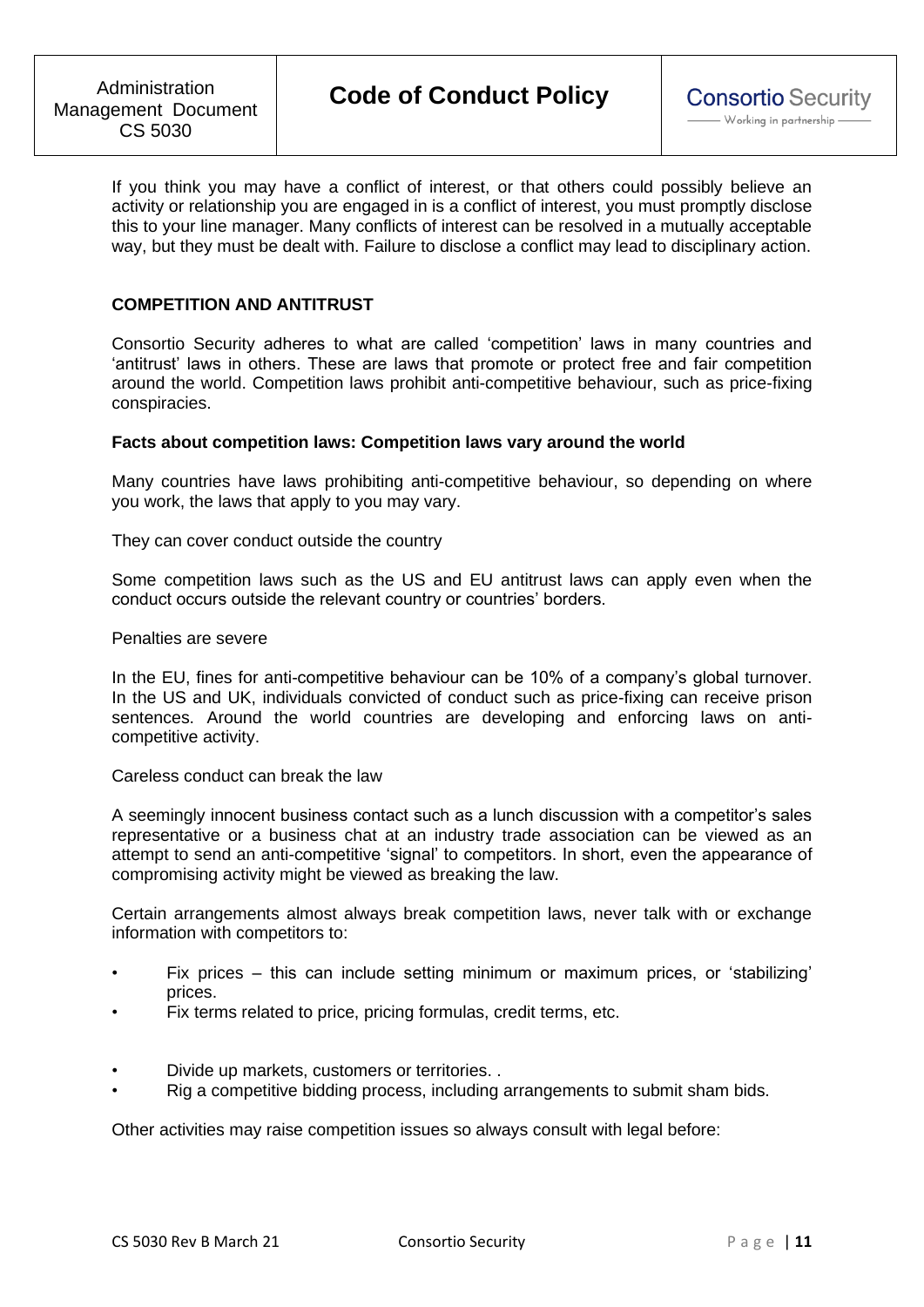If you think you may have a conflict of interest, or that others could possibly believe an activity or relationship you are engaged in is a conflict of interest, you must promptly disclose this to your line manager. Many conflicts of interest can be resolved in a mutually acceptable way, but they must be dealt with. Failure to disclose a conflict may lead to disciplinary action.

# **COMPETITION AND ANTITRUST**

Consortio Security adheres to what are called 'competition' laws in many countries and 'antitrust' laws in others. These are laws that promote or protect free and fair competition around the world. Competition laws prohibit anti-competitive behaviour, such as price-fixing conspiracies.

#### **Facts about competition laws: Competition laws vary around the world**

Many countries have laws prohibiting anti-competitive behaviour, so depending on where you work, the laws that apply to you may vary.

They can cover conduct outside the country

Some competition laws such as the US and EU antitrust laws can apply even when the conduct occurs outside the relevant country or countries' borders.

### Penalties are severe

In the EU, fines for anti-competitive behaviour can be 10% of a company's global turnover. In the US and UK, individuals convicted of conduct such as price-fixing can receive prison sentences. Around the world countries are developing and enforcing laws on anticompetitive activity.

Careless conduct can break the law

A seemingly innocent business contact such as a lunch discussion with a competitor's sales representative or a business chat at an industry trade association can be viewed as an attempt to send an anti-competitive 'signal' to competitors. In short, even the appearance of compromising activity might be viewed as breaking the law.

Certain arrangements almost always break competition laws, never talk with or exchange information with competitors to:

- Fix prices this can include setting minimum or maximum prices, or 'stabilizing' prices.
- Fix terms related to price, pricing formulas, credit terms, etc.
- Divide up markets, customers or territories. .
- Rig a competitive bidding process, including arrangements to submit sham bids.

Other activities may raise competition issues so always consult with legal before: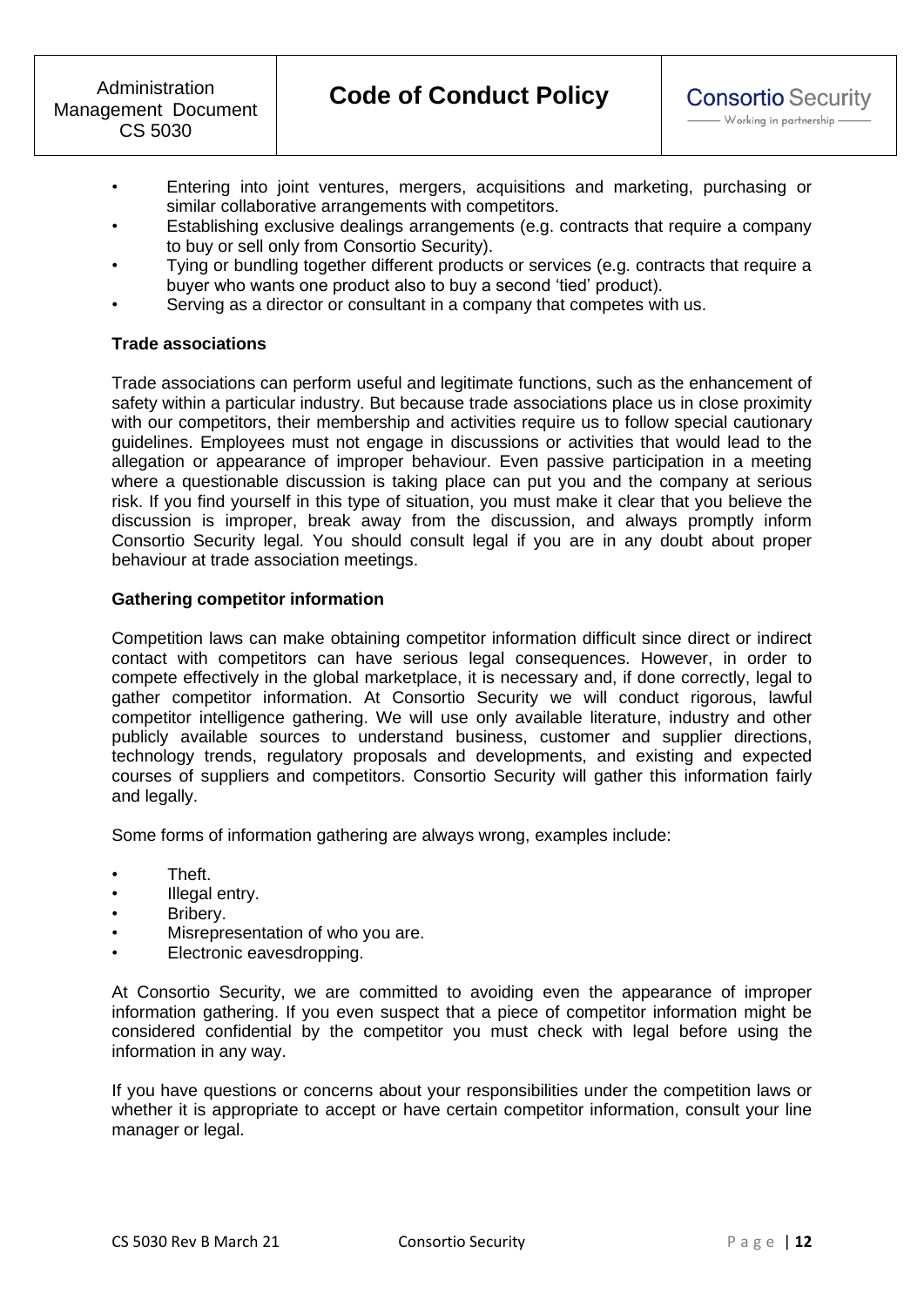- Entering into joint ventures, mergers, acquisitions and marketing, purchasing or similar collaborative arrangements with competitors.
- Establishing exclusive dealings arrangements (e.g. contracts that require a company to buy or sell only from Consortio Security).
- Tying or bundling together different products or services (e.g. contracts that require a buyer who wants one product also to buy a second 'tied' product).
- Serving as a director or consultant in a company that competes with us.

# **Trade associations**

Trade associations can perform useful and legitimate functions, such as the enhancement of safety within a particular industry. But because trade associations place us in close proximity with our competitors, their membership and activities require us to follow special cautionary guidelines. Employees must not engage in discussions or activities that would lead to the allegation or appearance of improper behaviour. Even passive participation in a meeting where a questionable discussion is taking place can put you and the company at serious risk. If you find yourself in this type of situation, you must make it clear that you believe the discussion is improper, break away from the discussion, and always promptly inform Consortio Security legal. You should consult legal if you are in any doubt about proper behaviour at trade association meetings.

# **Gathering competitor information**

Competition laws can make obtaining competitor information difficult since direct or indirect contact with competitors can have serious legal consequences. However, in order to compete effectively in the global marketplace, it is necessary and, if done correctly, legal to gather competitor information. At Consortio Security we will conduct rigorous, lawful competitor intelligence gathering. We will use only available literature, industry and other publicly available sources to understand business, customer and supplier directions, technology trends, regulatory proposals and developments, and existing and expected courses of suppliers and competitors. Consortio Security will gather this information fairly and legally.

Some forms of information gathering are always wrong, examples include:

- Theft.
- Illegal entry.
- Bribery.
- Misrepresentation of who you are.
- Electronic eavesdropping.

At Consortio Security, we are committed to avoiding even the appearance of improper information gathering. If you even suspect that a piece of competitor information might be considered confidential by the competitor you must check with legal before using the information in any way.

If you have questions or concerns about your responsibilities under the competition laws or whether it is appropriate to accept or have certain competitor information, consult your line manager or legal.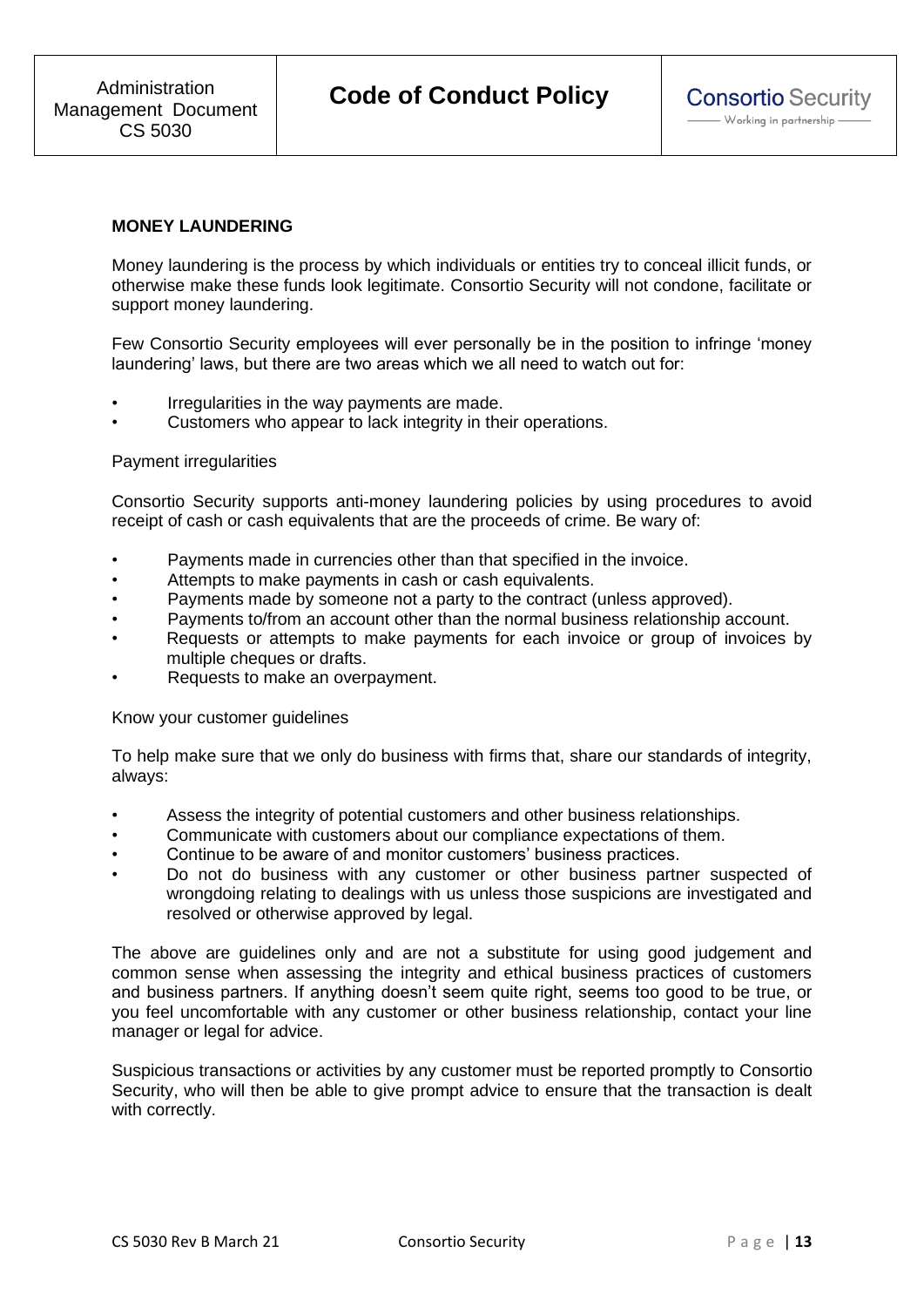### **MONEY LAUNDERING**

Money laundering is the process by which individuals or entities try to conceal illicit funds, or otherwise make these funds look legitimate. Consortio Security will not condone, facilitate or support money laundering.

Few Consortio Security employees will ever personally be in the position to infringe 'money laundering' laws, but there are two areas which we all need to watch out for:

- Irregularities in the way payments are made.
- Customers who appear to lack integrity in their operations.

### Payment irregularities

Consortio Security supports anti-money laundering policies by using procedures to avoid receipt of cash or cash equivalents that are the proceeds of crime. Be wary of:

- Payments made in currencies other than that specified in the invoice.
- Attempts to make payments in cash or cash equivalents.
- Payments made by someone not a party to the contract (unless approved).
- Payments to/from an account other than the normal business relationship account.
- Requests or attempts to make payments for each invoice or group of invoices by multiple cheques or drafts.
- Requests to make an overpayment.

Know your customer guidelines

To help make sure that we only do business with firms that, share our standards of integrity, always:

- Assess the integrity of potential customers and other business relationships.
- Communicate with customers about our compliance expectations of them.
- Continue to be aware of and monitor customers' business practices.
- Do not do business with any customer or other business partner suspected of wrongdoing relating to dealings with us unless those suspicions are investigated and resolved or otherwise approved by legal.

The above are guidelines only and are not a substitute for using good judgement and common sense when assessing the integrity and ethical business practices of customers and business partners. If anything doesn't seem quite right, seems too good to be true, or you feel uncomfortable with any customer or other business relationship, contact your line manager or legal for advice.

Suspicious transactions or activities by any customer must be reported promptly to Consortio Security, who will then be able to give prompt advice to ensure that the transaction is dealt with correctly.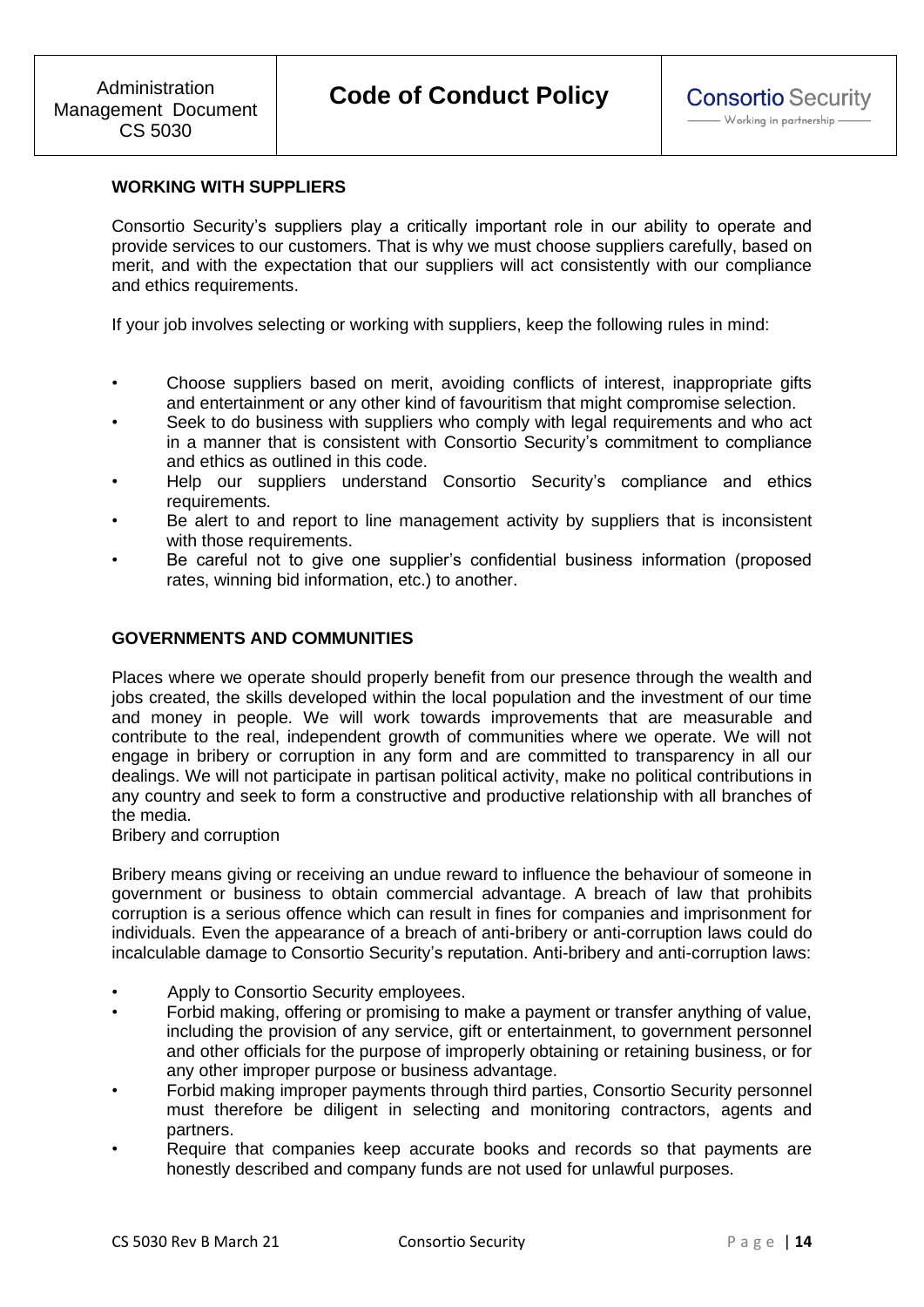# **WORKING WITH SUPPLIERS**

Consortio Security's suppliers play a critically important role in our ability to operate and provide services to our customers. That is why we must choose suppliers carefully, based on merit, and with the expectation that our suppliers will act consistently with our compliance and ethics requirements.

If your job involves selecting or working with suppliers, keep the following rules in mind:

- Choose suppliers based on merit, avoiding conflicts of interest, inappropriate gifts and entertainment or any other kind of favouritism that might compromise selection.
- Seek to do business with suppliers who comply with legal requirements and who act in a manner that is consistent with Consortio Security's commitment to compliance and ethics as outlined in this code.
- Help our suppliers understand Consortio Security's compliance and ethics requirements.
- Be alert to and report to line management activity by suppliers that is inconsistent with those requirements.
- Be careful not to give one supplier's confidential business information (proposed rates, winning bid information, etc.) to another.

# **GOVERNMENTS AND COMMUNITIES**

Places where we operate should properly benefit from our presence through the wealth and jobs created, the skills developed within the local population and the investment of our time and money in people. We will work towards improvements that are measurable and contribute to the real, independent growth of communities where we operate. We will not engage in bribery or corruption in any form and are committed to transparency in all our dealings. We will not participate in partisan political activity, make no political contributions in any country and seek to form a constructive and productive relationship with all branches of the media.

Bribery and corruption

Bribery means giving or receiving an undue reward to influence the behaviour of someone in government or business to obtain commercial advantage. A breach of law that prohibits corruption is a serious offence which can result in fines for companies and imprisonment for individuals. Even the appearance of a breach of anti-bribery or anti-corruption laws could do incalculable damage to Consortio Security's reputation. Anti-bribery and anti-corruption laws:

- Apply to Consortio Security employees.
- Forbid making, offering or promising to make a payment or transfer anything of value, including the provision of any service, gift or entertainment, to government personnel and other officials for the purpose of improperly obtaining or retaining business, or for any other improper purpose or business advantage.
- Forbid making improper payments through third parties, Consortio Security personnel must therefore be diligent in selecting and monitoring contractors, agents and partners.
- Require that companies keep accurate books and records so that payments are honestly described and company funds are not used for unlawful purposes.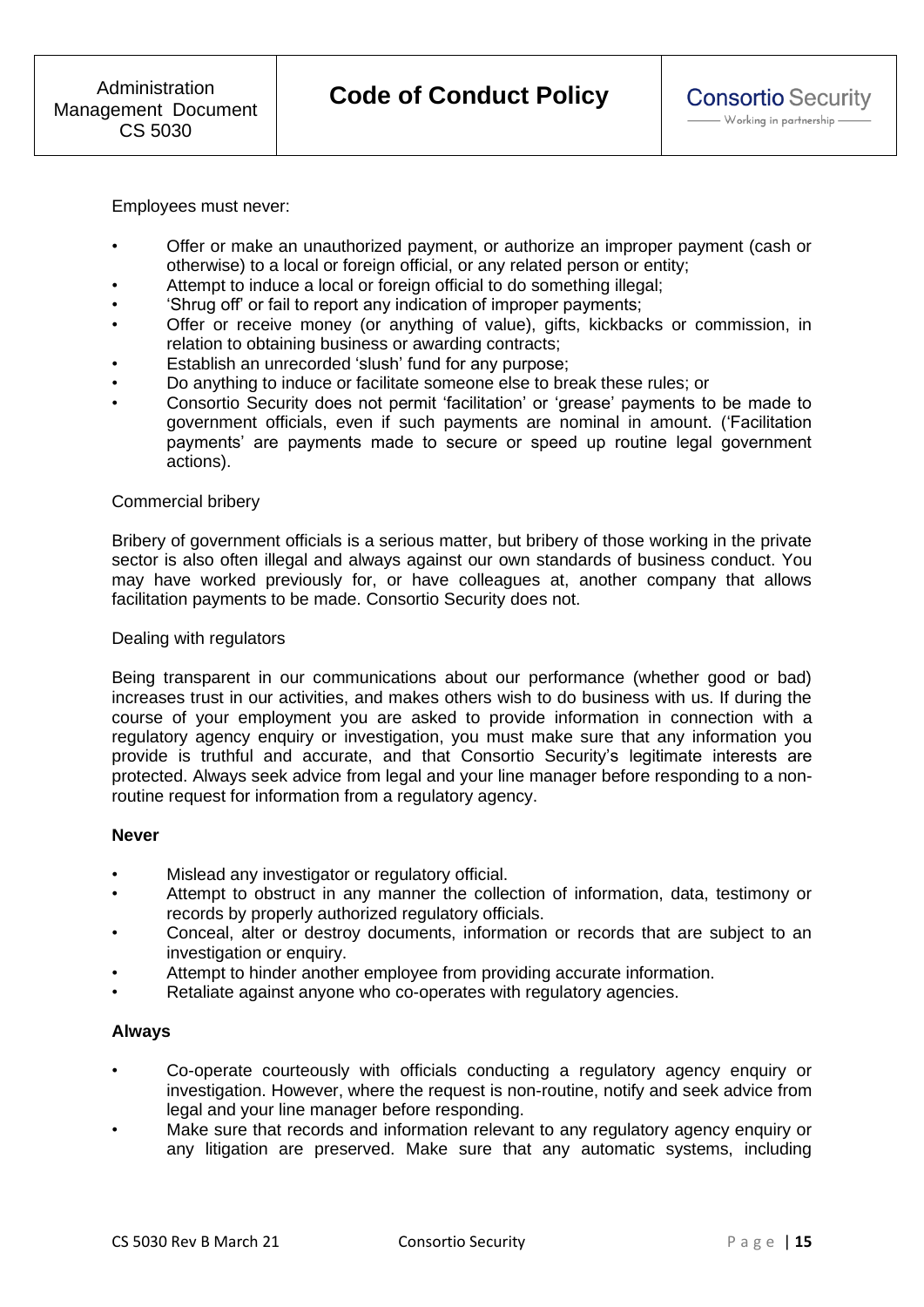Employees must never:

- Offer or make an unauthorized payment, or authorize an improper payment (cash or otherwise) to a local or foreign official, or any related person or entity;
- Attempt to induce a local or foreign official to do something illegal;
- 'Shrug off' or fail to report any indication of improper payments;
- Offer or receive money (or anything of value), gifts, kickbacks or commission, in relation to obtaining business or awarding contracts;
- Establish an unrecorded 'slush' fund for any purpose;
- Do anything to induce or facilitate someone else to break these rules; or
- Consortio Security does not permit 'facilitation' or 'grease' payments to be made to government officials, even if such payments are nominal in amount. ('Facilitation payments' are payments made to secure or speed up routine legal government actions).

#### Commercial bribery

Bribery of government officials is a serious matter, but bribery of those working in the private sector is also often illegal and always against our own standards of business conduct. You may have worked previously for, or have colleagues at, another company that allows facilitation payments to be made. Consortio Security does not.

#### Dealing with regulators

Being transparent in our communications about our performance (whether good or bad) increases trust in our activities, and makes others wish to do business with us. If during the course of your employment you are asked to provide information in connection with a regulatory agency enquiry or investigation, you must make sure that any information you provide is truthful and accurate, and that Consortio Security's legitimate interests are protected. Always seek advice from legal and your line manager before responding to a nonroutine request for information from a regulatory agency.

### **Never**

- Mislead any investigator or regulatory official.
- Attempt to obstruct in any manner the collection of information, data, testimony or records by properly authorized regulatory officials.
- Conceal, alter or destroy documents, information or records that are subject to an investigation or enquiry.
- Attempt to hinder another employee from providing accurate information.
- Retaliate against anyone who co-operates with regulatory agencies.

### **Always**

- Co-operate courteously with officials conducting a regulatory agency enquiry or investigation. However, where the request is non-routine, notify and seek advice from legal and your line manager before responding.
- Make sure that records and information relevant to any regulatory agency enquiry or any litigation are preserved. Make sure that any automatic systems, including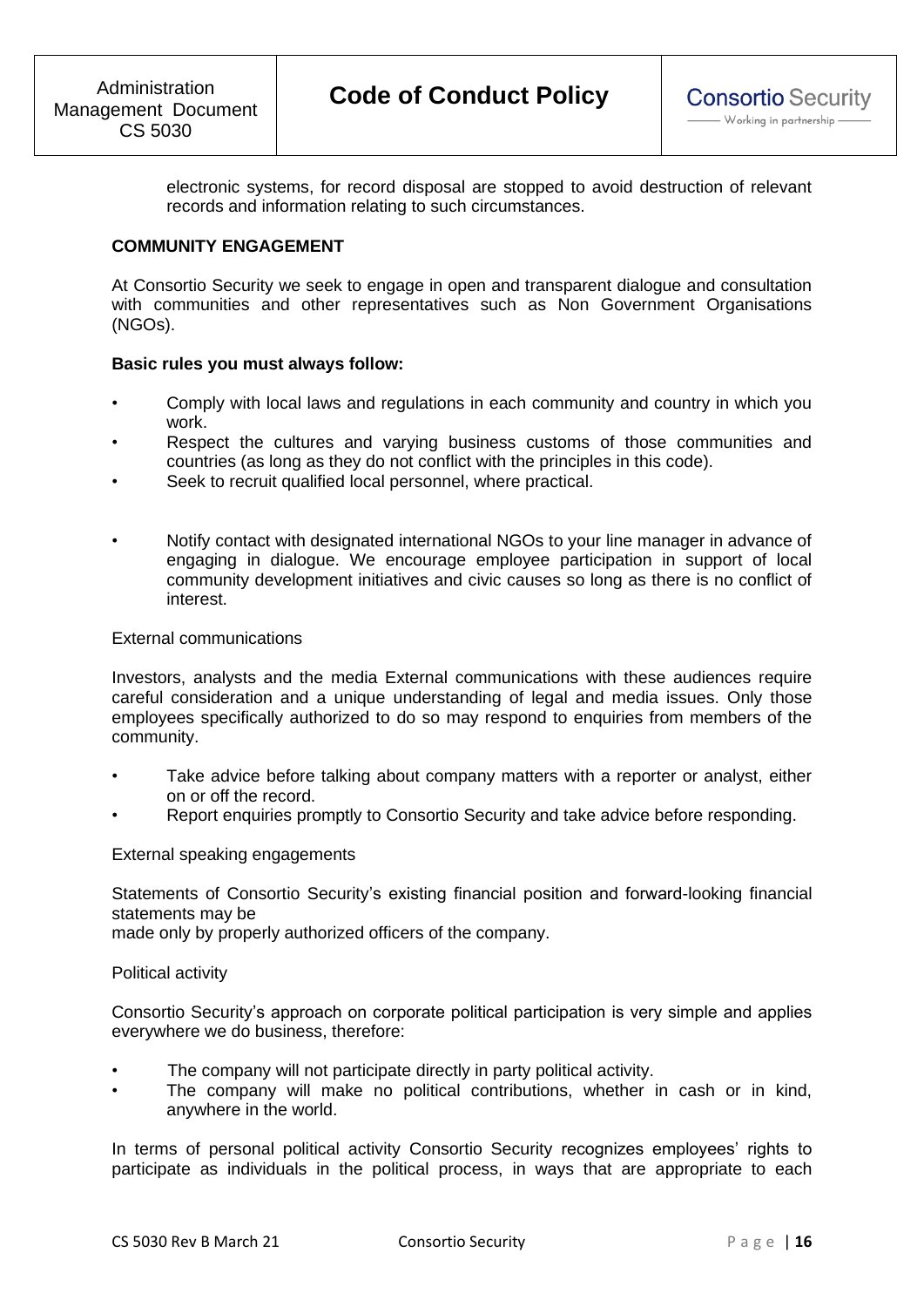electronic systems, for record disposal are stopped to avoid destruction of relevant records and information relating to such circumstances.

### **COMMUNITY ENGAGEMENT**

At Consortio Security we seek to engage in open and transparent dialogue and consultation with communities and other representatives such as Non Government Organisations (NGOs).

### **Basic rules you must always follow:**

- Comply with local laws and regulations in each community and country in which you work.
- Respect the cultures and varying business customs of those communities and countries (as long as they do not conflict with the principles in this code).
- Seek to recruit qualified local personnel, where practical.
- Notify contact with designated international NGOs to your line manager in advance of engaging in dialogue. We encourage employee participation in support of local community development initiatives and civic causes so long as there is no conflict of interest.

# External communications

Investors, analysts and the media External communications with these audiences require careful consideration and a unique understanding of legal and media issues. Only those employees specifically authorized to do so may respond to enquiries from members of the community.

- Take advice before talking about company matters with a reporter or analyst, either on or off the record.
- Report enquiries promptly to Consortio Security and take advice before responding.

External speaking engagements

Statements of Consortio Security's existing financial position and forward-looking financial statements may be

made only by properly authorized officers of the company.

### Political activity

Consortio Security's approach on corporate political participation is very simple and applies everywhere we do business, therefore:

- The company will not participate directly in party political activity.
- The company will make no political contributions, whether in cash or in kind, anywhere in the world.

In terms of personal political activity Consortio Security recognizes employees' rights to participate as individuals in the political process, in ways that are appropriate to each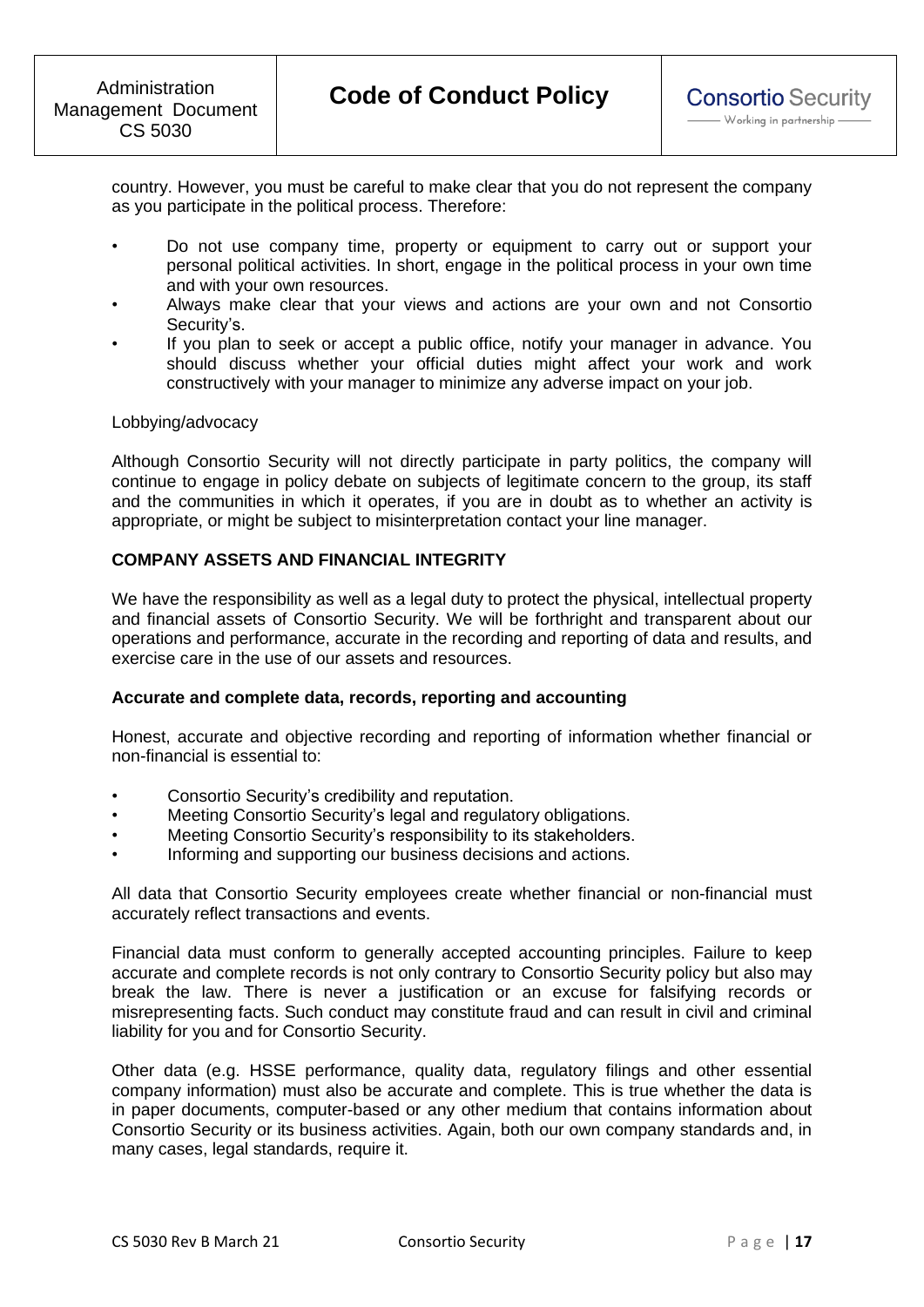country. However, you must be careful to make clear that you do not represent the company as you participate in the political process. Therefore:

- Do not use company time, property or equipment to carry out or support your personal political activities. In short, engage in the political process in your own time and with your own resources.
- Always make clear that your views and actions are your own and not Consortio Security's.
- If you plan to seek or accept a public office, notify your manager in advance. You should discuss whether your official duties might affect your work and work constructively with your manager to minimize any adverse impact on your job.

### Lobbying/advocacy

Although Consortio Security will not directly participate in party politics, the company will continue to engage in policy debate on subjects of legitimate concern to the group, its staff and the communities in which it operates, if you are in doubt as to whether an activity is appropriate, or might be subject to misinterpretation contact your line manager.

### **COMPANY ASSETS AND FINANCIAL INTEGRITY**

We have the responsibility as well as a legal duty to protect the physical, intellectual property and financial assets of Consortio Security. We will be forthright and transparent about our operations and performance, accurate in the recording and reporting of data and results, and exercise care in the use of our assets and resources.

#### **Accurate and complete data, records, reporting and accounting**

Honest, accurate and objective recording and reporting of information whether financial or non-financial is essential to:

- Consortio Security's credibility and reputation.
- Meeting Consortio Security's legal and regulatory obligations.
- Meeting Consortio Security's responsibility to its stakeholders.
- Informing and supporting our business decisions and actions.

All data that Consortio Security employees create whether financial or non-financial must accurately reflect transactions and events.

Financial data must conform to generally accepted accounting principles. Failure to keep accurate and complete records is not only contrary to Consortio Security policy but also may break the law. There is never a justification or an excuse for falsifying records or misrepresenting facts. Such conduct may constitute fraud and can result in civil and criminal liability for you and for Consortio Security.

Other data (e.g. HSSE performance, quality data, regulatory filings and other essential company information) must also be accurate and complete. This is true whether the data is in paper documents, computer-based or any other medium that contains information about Consortio Security or its business activities. Again, both our own company standards and, in many cases, legal standards, require it.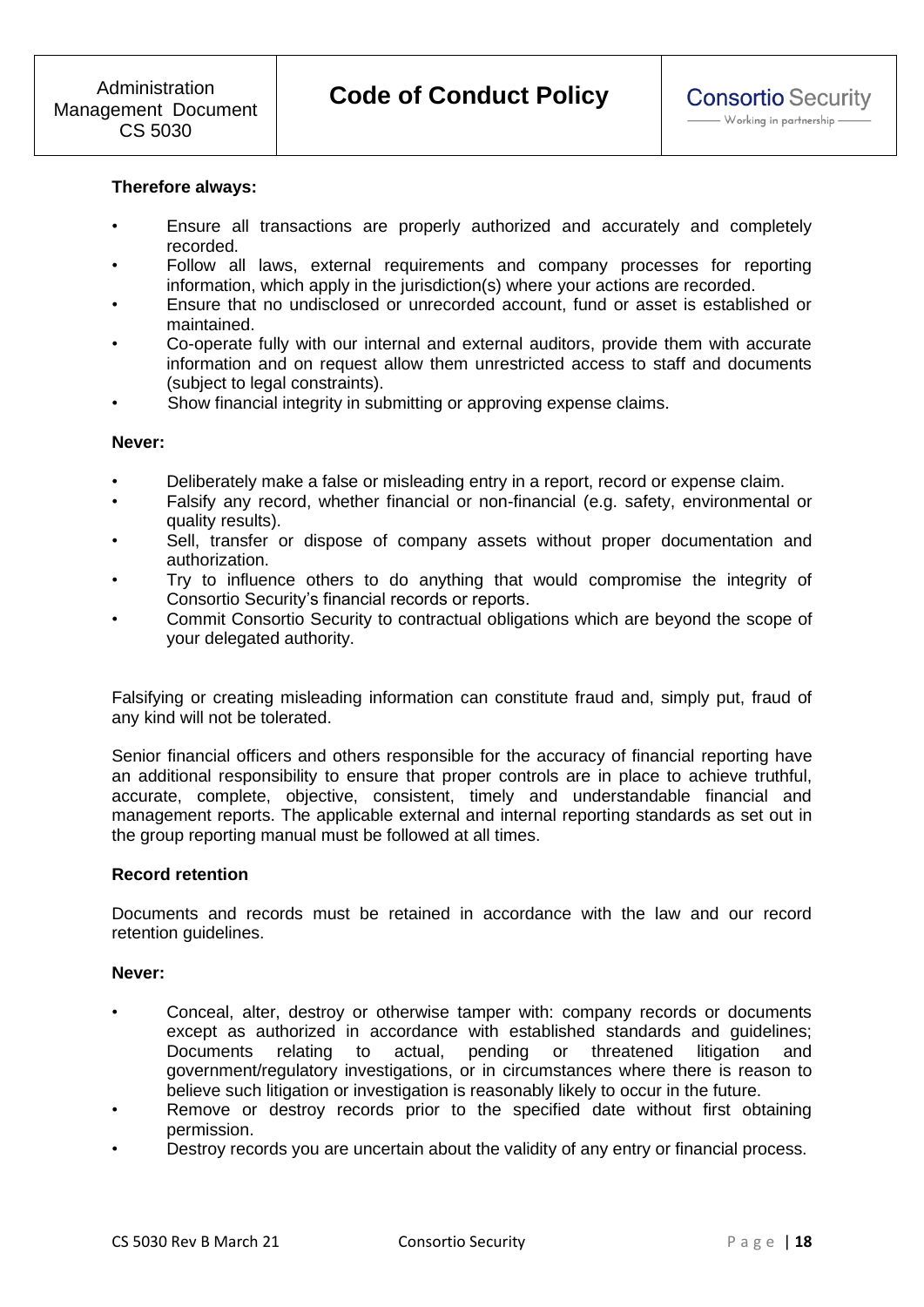# **Therefore always:**

- Ensure all transactions are properly authorized and accurately and completely recorded.
- Follow all laws, external requirements and company processes for reporting information, which apply in the jurisdiction(s) where your actions are recorded.
- Ensure that no undisclosed or unrecorded account, fund or asset is established or maintained.
- Co-operate fully with our internal and external auditors, provide them with accurate information and on request allow them unrestricted access to staff and documents (subject to legal constraints).
- Show financial integrity in submitting or approving expense claims.

#### **Never:**

- Deliberately make a false or misleading entry in a report, record or expense claim.
- Falsify any record, whether financial or non-financial (e.g. safety, environmental or quality results).
- Sell, transfer or dispose of company assets without proper documentation and authorization.
- Try to influence others to do anything that would compromise the integrity of Consortio Security's financial records or reports.
- Commit Consortio Security to contractual obligations which are beyond the scope of your delegated authority.

Falsifying or creating misleading information can constitute fraud and, simply put, fraud of any kind will not be tolerated.

Senior financial officers and others responsible for the accuracy of financial reporting have an additional responsibility to ensure that proper controls are in place to achieve truthful, accurate, complete, objective, consistent, timely and understandable financial and management reports. The applicable external and internal reporting standards as set out in the group reporting manual must be followed at all times.

# **Record retention**

Documents and records must be retained in accordance with the law and our record retention guidelines.

### **Never:**

- Conceal, alter, destroy or otherwise tamper with: company records or documents except as authorized in accordance with established standards and guidelines; Documents relating to actual, pending or threatened litigation and government/regulatory investigations, or in circumstances where there is reason to believe such litigation or investigation is reasonably likely to occur in the future.
- Remove or destroy records prior to the specified date without first obtaining permission.
- Destroy records you are uncertain about the validity of any entry or financial process.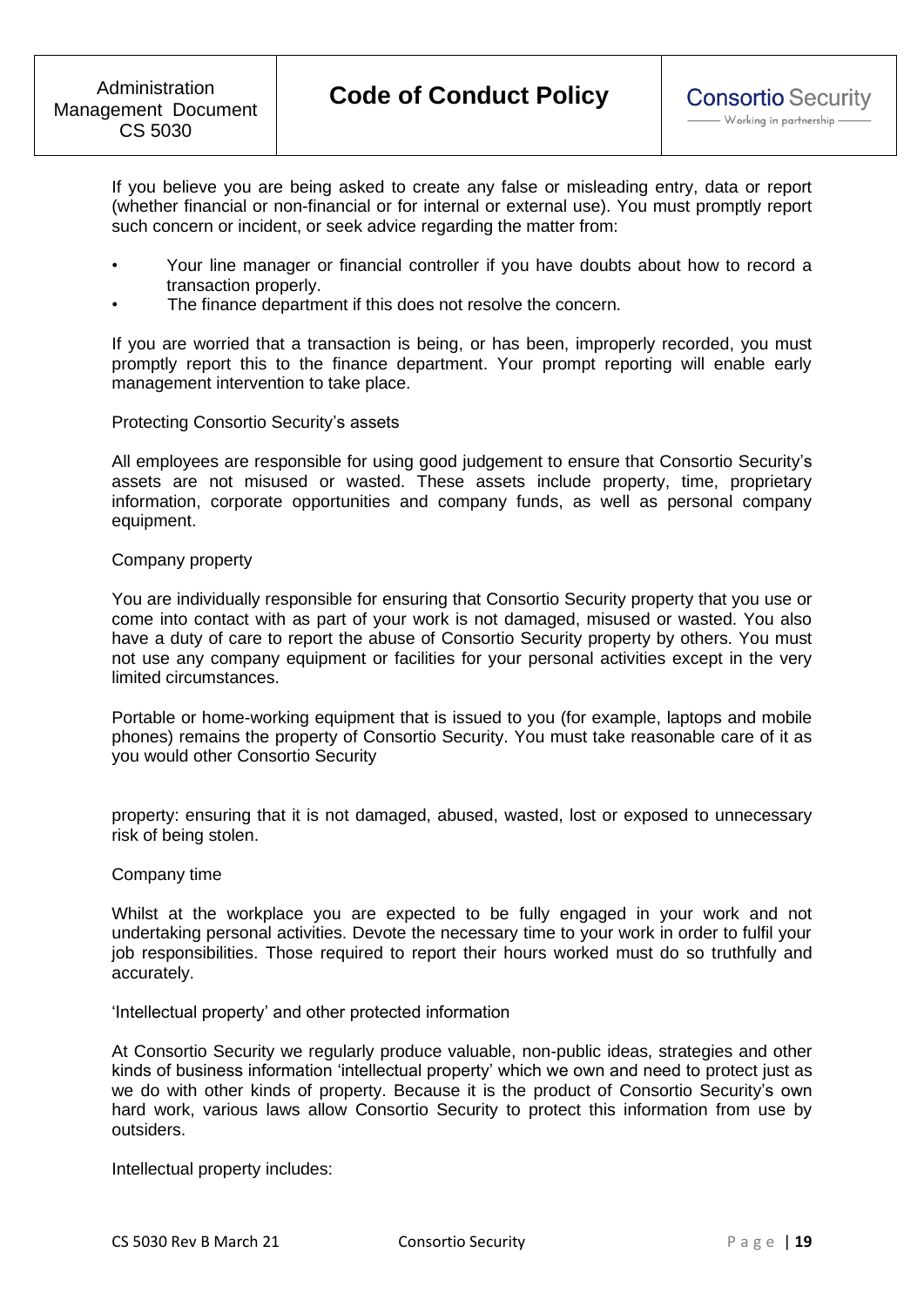If you believe you are being asked to create any false or misleading entry, data or report (whether financial or non-financial or for internal or external use). You must promptly report such concern or incident, or seek advice regarding the matter from:

- Your line manager or financial controller if you have doubts about how to record a transaction properly.
- The finance department if this does not resolve the concern.

If you are worried that a transaction is being, or has been, improperly recorded, you must promptly report this to the finance department. Your prompt reporting will enable early management intervention to take place.

### Protecting Consortio Security's assets

All employees are responsible for using good judgement to ensure that Consortio Security's assets are not misused or wasted. These assets include property, time, proprietary information, corporate opportunities and company funds, as well as personal company equipment.

#### Company property

You are individually responsible for ensuring that Consortio Security property that you use or come into contact with as part of your work is not damaged, misused or wasted. You also have a duty of care to report the abuse of Consortio Security property by others. You must not use any company equipment or facilities for your personal activities except in the very limited circumstances.

Portable or home-working equipment that is issued to you (for example, laptops and mobile phones) remains the property of Consortio Security. You must take reasonable care of it as you would other Consortio Security

property: ensuring that it is not damaged, abused, wasted, lost or exposed to unnecessary risk of being stolen.

### Company time

Whilst at the workplace you are expected to be fully engaged in your work and not undertaking personal activities. Devote the necessary time to your work in order to fulfil your job responsibilities. Those required to report their hours worked must do so truthfully and accurately.

'Intellectual property' and other protected information

At Consortio Security we regularly produce valuable, non-public ideas, strategies and other kinds of business information 'intellectual property' which we own and need to protect just as we do with other kinds of property. Because it is the product of Consortio Security's own hard work, various laws allow Consortio Security to protect this information from use by outsiders.

Intellectual property includes: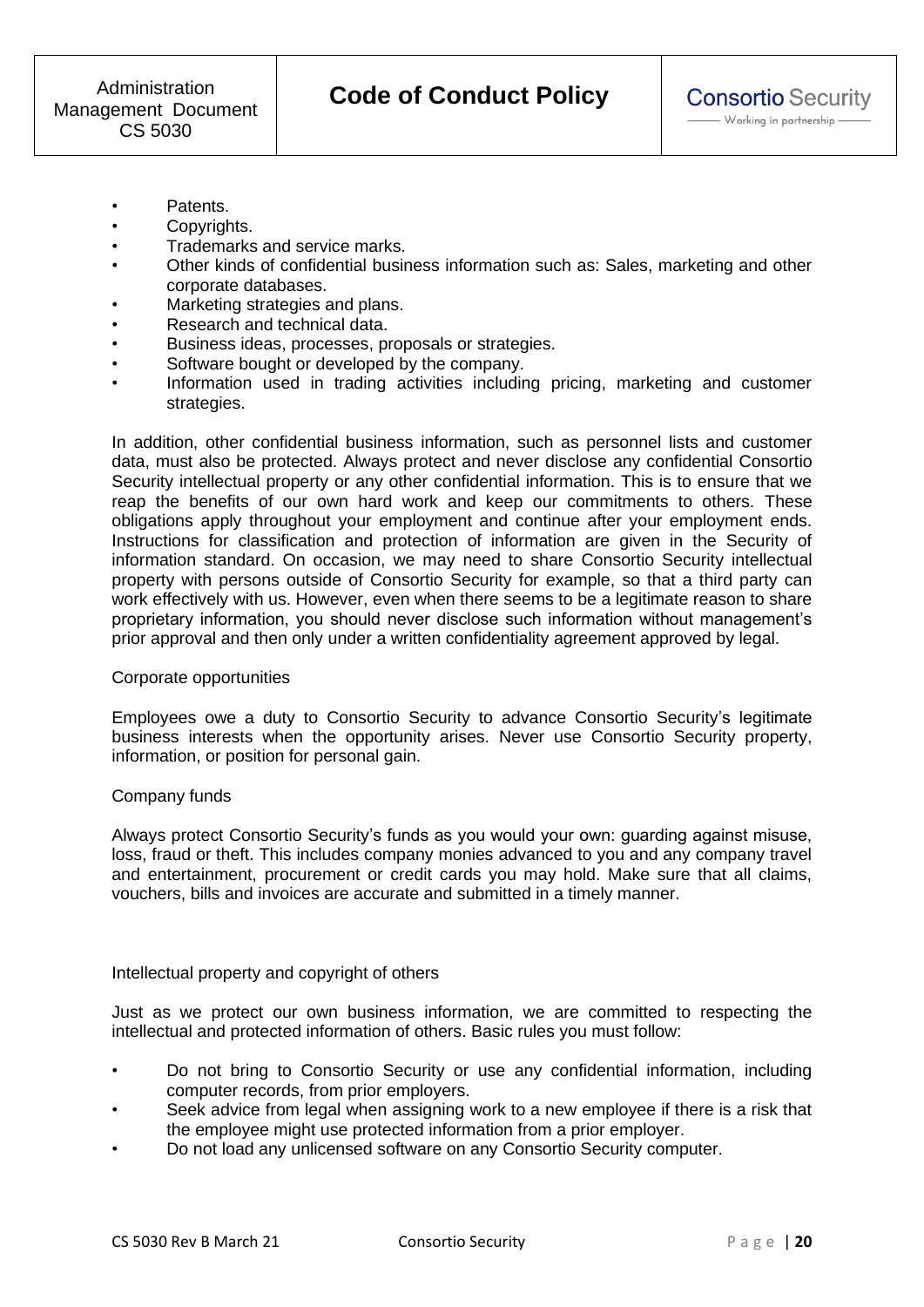- Patents.
- Copyrights.
- Trademarks and service marks.
- Other kinds of confidential business information such as: Sales, marketing and other corporate databases.
- Marketing strategies and plans.
- Research and technical data.
- Business ideas, processes, proposals or strategies.
- Software bought or developed by the company.
- Information used in trading activities including pricing, marketing and customer strategies.

In addition, other confidential business information, such as personnel lists and customer data, must also be protected. Always protect and never disclose any confidential Consortio Security intellectual property or any other confidential information. This is to ensure that we reap the benefits of our own hard work and keep our commitments to others. These obligations apply throughout your employment and continue after your employment ends. Instructions for classification and protection of information are given in the Security of information standard. On occasion, we may need to share Consortio Security intellectual property with persons outside of Consortio Security for example, so that a third party can work effectively with us. However, even when there seems to be a legitimate reason to share proprietary information, you should never disclose such information without management's prior approval and then only under a written confidentiality agreement approved by legal.

### Corporate opportunities

Employees owe a duty to Consortio Security to advance Consortio Security's legitimate business interests when the opportunity arises. Never use Consortio Security property, information, or position for personal gain.

### Company funds

Always protect Consortio Security's funds as you would your own: guarding against misuse, loss, fraud or theft. This includes company monies advanced to you and any company travel and entertainment, procurement or credit cards you may hold. Make sure that all claims, vouchers, bills and invoices are accurate and submitted in a timely manner.

### Intellectual property and copyright of others

Just as we protect our own business information, we are committed to respecting the intellectual and protected information of others. Basic rules you must follow:

- Do not bring to Consortio Security or use any confidential information, including computer records, from prior employers.
- Seek advice from legal when assigning work to a new employee if there is a risk that the employee might use protected information from a prior employer.
- Do not load any unlicensed software on any Consortio Security computer.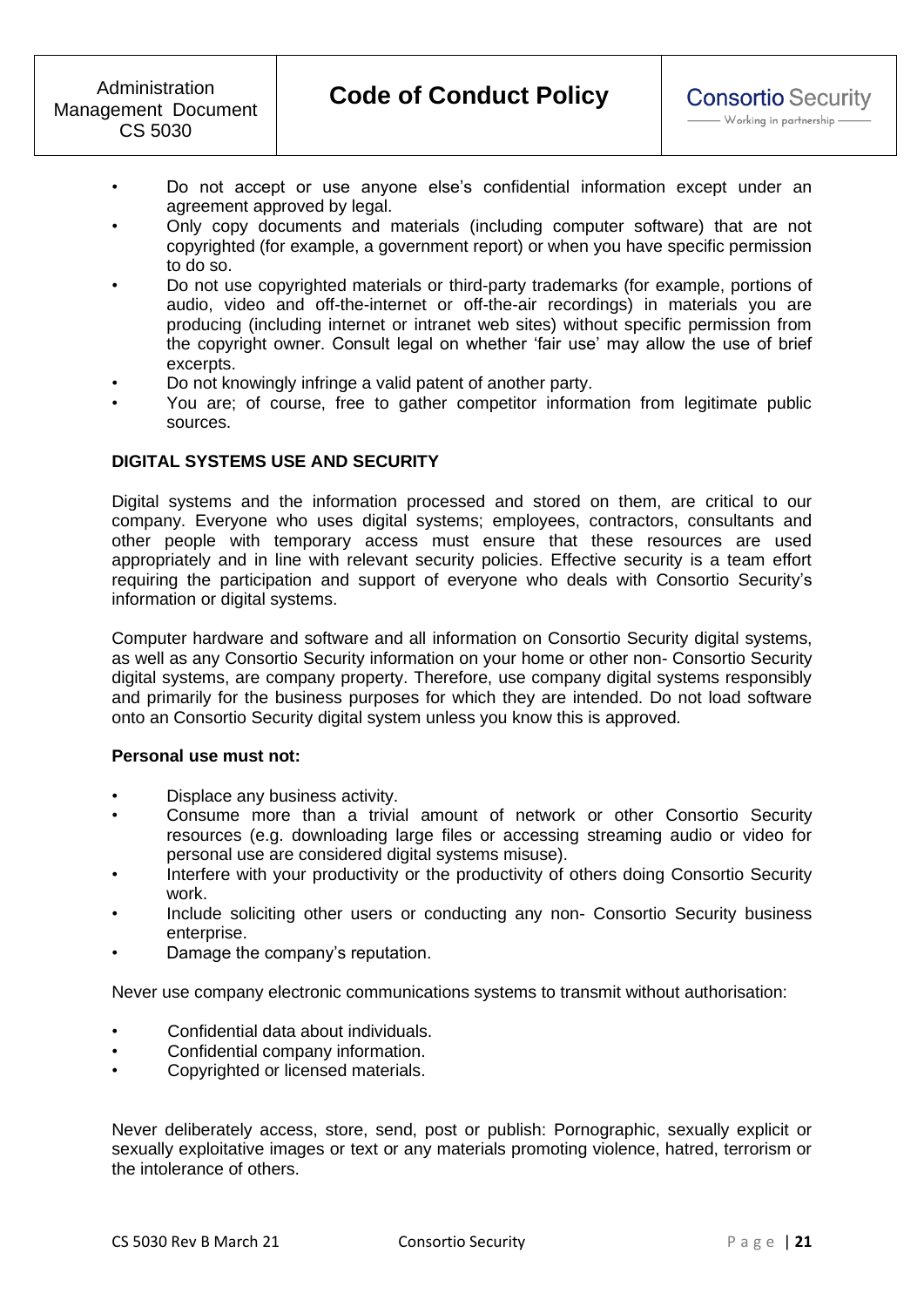- Do not accept or use anyone else's confidential information except under an agreement approved by legal.
- Only copy documents and materials (including computer software) that are not copyrighted (for example, a government report) or when you have specific permission to do so.
- Do not use copyrighted materials or third-party trademarks (for example, portions of audio, video and off-the-internet or off-the-air recordings) in materials you are producing (including internet or intranet web sites) without specific permission from the copyright owner. Consult legal on whether 'fair use' may allow the use of brief excerpts.
- Do not knowingly infringe a valid patent of another party.
- You are; of course, free to gather competitor information from legitimate public sources.

# **DIGITAL SYSTEMS USE AND SECURITY**

Digital systems and the information processed and stored on them, are critical to our company. Everyone who uses digital systems; employees, contractors, consultants and other people with temporary access must ensure that these resources are used appropriately and in line with relevant security policies. Effective security is a team effort requiring the participation and support of everyone who deals with Consortio Security's information or digital systems.

Computer hardware and software and all information on Consortio Security digital systems, as well as any Consortio Security information on your home or other non- Consortio Security digital systems, are company property. Therefore, use company digital systems responsibly and primarily for the business purposes for which they are intended. Do not load software onto an Consortio Security digital system unless you know this is approved.

### **Personal use must not:**

- Displace any business activity.
- Consume more than a trivial amount of network or other Consortio Security resources (e.g. downloading large files or accessing streaming audio or video for personal use are considered digital systems misuse).
- Interfere with your productivity or the productivity of others doing Consortio Security work.
- Include soliciting other users or conducting any non- Consortio Security business enterprise.
- Damage the company's reputation.

Never use company electronic communications systems to transmit without authorisation:

- Confidential data about individuals.
- Confidential company information.
- Copyrighted or licensed materials.

Never deliberately access, store, send, post or publish: Pornographic, sexually explicit or sexually exploitative images or text or any materials promoting violence, hatred, terrorism or the intolerance of others.